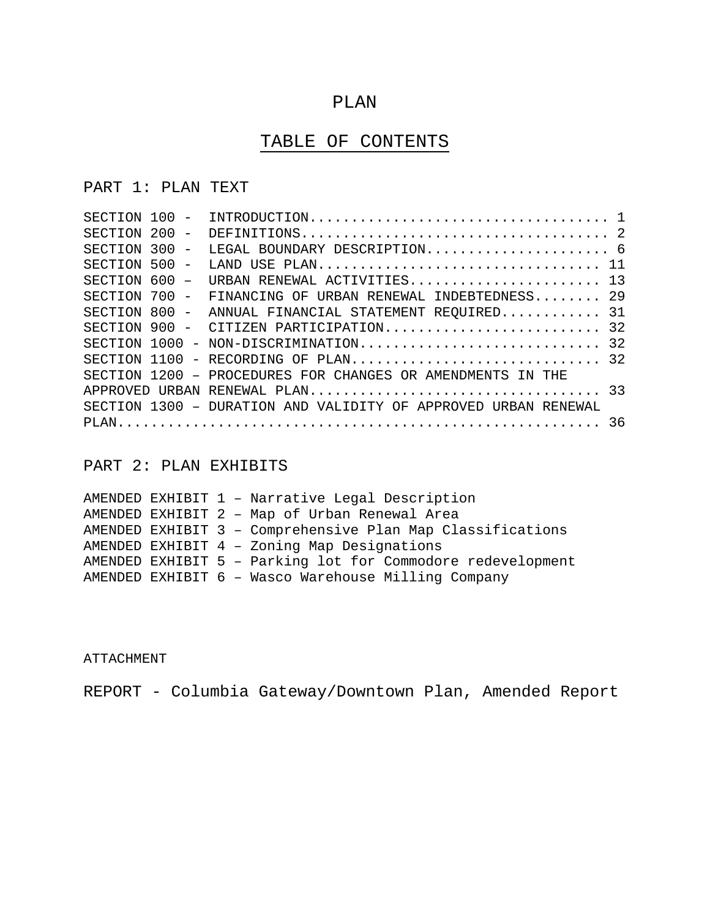# PLAN

## TABLE OF CONTENTS

## PART 1: PLAN TEXT

| SECTION 100  |                          |                                                                |  |
|--------------|--------------------------|----------------------------------------------------------------|--|
| SECTION 200  | $\overline{\phantom{m}}$ |                                                                |  |
| SECTION 300  | $\overline{\phantom{a}}$ | LEGAL BOUNDARY DESCRIPTION 6                                   |  |
| SECTION 500  | $\overline{\phantom{0}}$ | LAND USE PLAN 11                                               |  |
| SECTION 600  | $\overline{\phantom{m}}$ | URBAN RENEWAL ACTIVITIES 13                                    |  |
| SECTION 700  | $\overline{\phantom{a}}$ | FINANCING OF URBAN RENEWAL INDEBTEDNESS 29                     |  |
| SECTION 800  | $\overline{\phantom{m}}$ | ANNUAL FINANCIAL STATEMENT REQUIRED 31                         |  |
| SECTION 900  | $\!-$                    | CITIZEN PARTICIPATION 32                                       |  |
| SECTION 1000 | $\overline{\phantom{a}}$ | NON-DISCRIMINATION 32                                          |  |
|              |                          | SECTION $1100$ - RECORDING OF PLAN 32                          |  |
|              |                          | SECTION 1200 - PROCEDURES FOR CHANGES OR AMENDMENTS IN THE     |  |
|              |                          |                                                                |  |
|              |                          | SECTION 1300 - DURATION AND VALIDITY OF APPROVED URBAN RENEWAL |  |
|              |                          |                                                                |  |
|              |                          |                                                                |  |

# PART 2: PLAN EXHIBITS

```
AMENDED EXHIBIT 1 – Narrative Legal Description
AMENDED EXHIBIT 2 – Map of Urban Renewal Area
AMENDED EXHIBIT 3 – Comprehensive Plan Map Classifications
AMENDED EXHIBIT 4 – Zoning Map Designations
AMENDED EXHIBIT 5 – Parking lot for Commodore redevelopment
AMENDED EXHIBIT 6 – Wasco Warehouse Milling Company
```
ATTACHMENT

REPORT - Columbia Gateway/Downtown Plan, Amended Report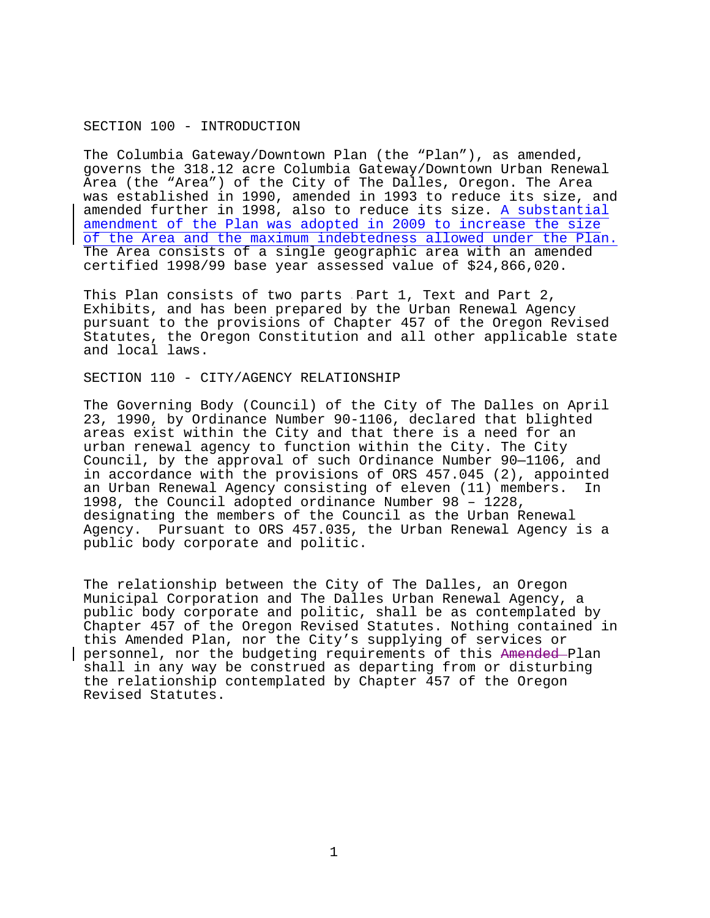#### SECTION 100 - INTRODUCTION

The Columbia Gateway/Downtown Plan (the "Plan"), as amended, governs the 318.12 acre Columbia Gateway/Downtown Urban Renewal Area (the "Area") of the City of The Dalles, Oregon. The Area was established in 1990, amended in 1993 to reduce its size, and amended further in 1998, also to reduce its size. A substantial amendment of the Plan was adopted in 2009 to increase the size of the Area and the maximum indebtedness allowed under the Plan. The Area consists of a single geographic area with an amended certified 1998/99 base year assessed value of \$24,866,020.

This Plan consists of two parts - Part 1, Text and Part 2, Exhibits, and has been prepared by the Urban Renewal Agency pursuant to the provisions of Chapter 457 of the Oregon Revised Statutes, the Oregon Constitution and all other applicable state and local laws.

#### SECTION 110 - CITY/AGENCY RELATIONSHIP

The Governing Body (Council) of the City of The Dalles on April 23, 1990, by Ordinance Number 90-1106, declared that blighted areas exist within the City and that there is a need for an urban renewal agency to function within the City. The City Council, by the approval of such Ordinance Number 90—1106, and in accordance with the provisions of ORS 457.045 (2), appointed an Urban Renewal Agency consisting of eleven (11) members. 1998, the Council adopted ordinance Number 98 – 1228, designating the members of the Council as the Urban Renewal Agency. Pursuant to ORS 457.035, the Urban Renewal Agency is a public body corporate and politic.

The relationship between the City of The Dalles, an Oregon Municipal Corporation and The Dalles Urban Renewal Agency, a public body corporate and politic, shall be as contemplated by Chapter 457 of the Oregon Revised Statutes. Nothing contained in this Amended Plan, nor the City's supplying of services or personnel, nor the budgeting requirements of this Amended-Plan shall in any way be construed as departing from or disturbing the relationship contemplated by Chapter 457 of the Oregon Revised Statutes.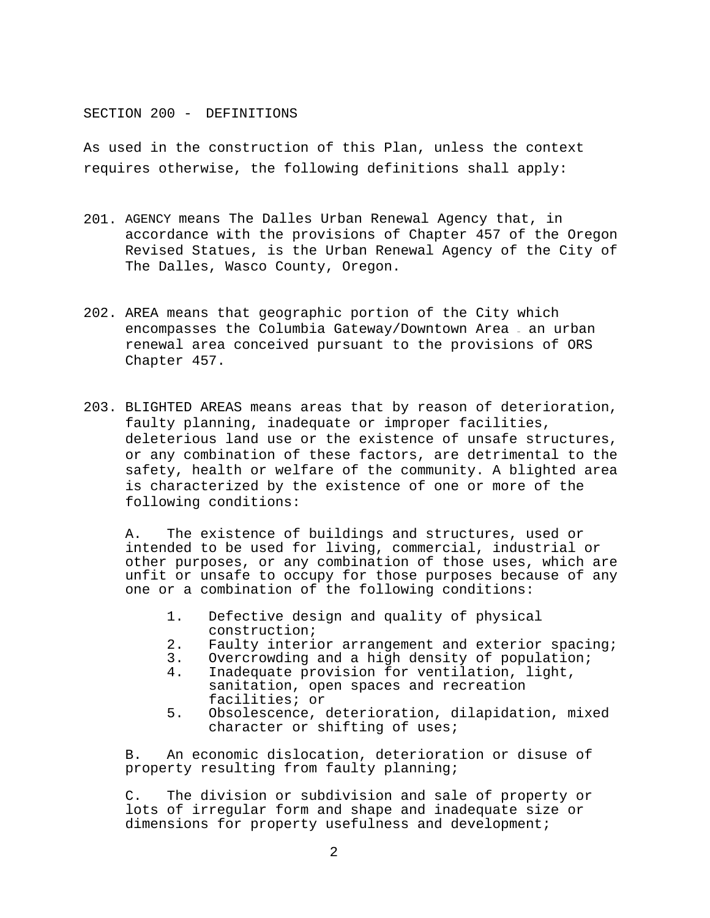#### SECTION 200 - DEFINITIONS

As used in the construction of this Plan, unless the context requires otherwise, the following definitions shall apply:

- 201. AGENCY means The Dalles Urban Renewal Agency that, in accordance with the provisions of Chapter 457 of the Oregon Revised Statues, is the Urban Renewal Agency of the City of The Dalles, Wasco County, Oregon.
- 202. AREA means that geographic portion of the City which encompasses the Columbia Gateway/Downtown Area — an urban renewal area conceived pursuant to the provisions of ORS Chapter 457.
- 203. BLIGHTED AREAS means areas that by reason of deterioration, faulty planning, inadequate or improper facilities, deleterious land use or the existence of unsafe structures, or any combination of these factors, are detrimental to the safety, health or welfare of the community. A blighted area is characterized by the existence of one or more of the following conditions:

A. The existence of buildings and structures, used or intended to be used for living, commercial, industrial or other purposes, or any combination of those uses, which are unfit or unsafe to occupy for those purposes because of any one or a combination of the following conditions:

- 1. Defective design and quality of physical construction;
- 2. Faulty interior arrangement and exterior spacing;<br>3. Overcrowding and a high density of population;
- 3. Overcrowding and a high density of population;<br>4. Inadequate provision for ventilation, light,
- Inadequate provision for ventilation, light, sanitation, open spaces and recreation facilities; or
- 5. Obsolescence, deterioration, dilapidation, mixed character or shifting of uses;

B. An economic dislocation, deterioration or disuse of property resulting from faulty planning;

C. The division or subdivision and sale of property or lots of irregular form and shape and inadequate size or dimensions for property usefulness and development;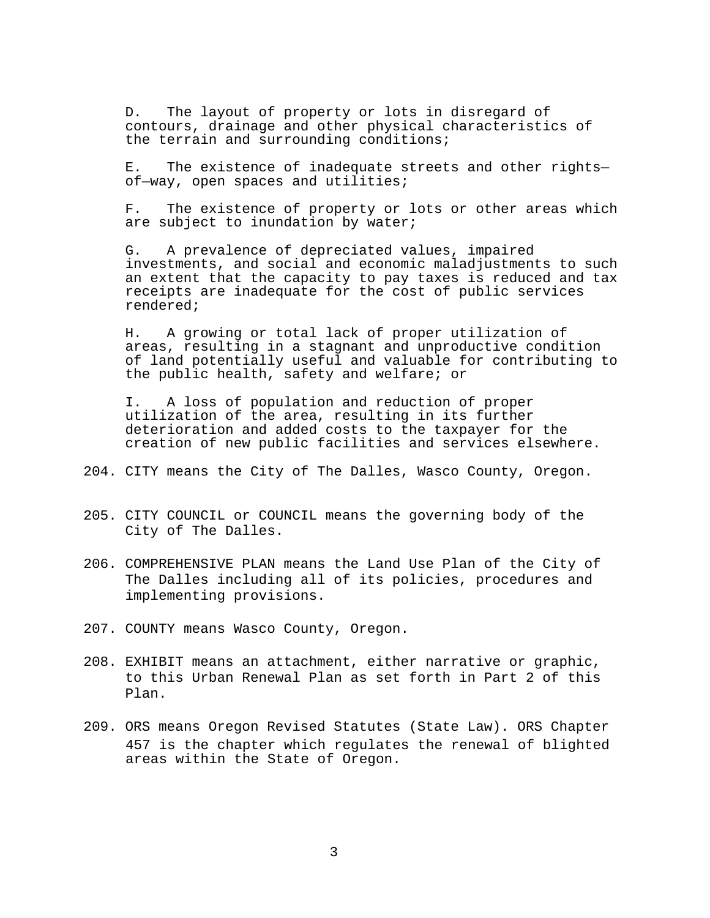D. The layout of property or lots in disregard of contours, drainage and other physical characteristics of the terrain and surrounding conditions;

E. The existence of inadequate streets and other rights— of—way, open spaces and utilities;

F. The existence of property or lots or other areas which are subject to inundation by water;

G. A prevalence of depreciated values, impaired investments, and social and economic maladjustments to such an extent that the capacity to pay taxes is reduced and tax receipts are inadequate for the cost of public services rendered;

H. A growing or total lack of proper utilization of areas, resulting in a stagnant and unproductive condition of land potentially useful and valuable for contributing to the public health, safety and welfare; or

I. A loss of population and reduction of proper utilization of the area, resulting in its further deterioration and added costs to the taxpayer for the creation of new public facilities and services elsewhere.

- 204. CITY means the City of The Dalles, Wasco County, Oregon.
- 205. CITY COUNCIL or COUNCIL means the governing body of the City of The Dalles.
- 206. COMPREHENSIVE PLAN means the Land Use Plan of the City of The Dalles including all of its policies, procedures and implementing provisions.
- 207. COUNTY means Wasco County, Oregon.
- 208. EXHIBIT means an attachment, either narrative or graphic, to this Urban Renewal Plan as set forth in Part 2 of this Plan.
- 209. ORS means Oregon Revised Statutes (State Law). ORS Chapter 457 is the chapter which regulates the renewal of blighted areas within the State of Oregon.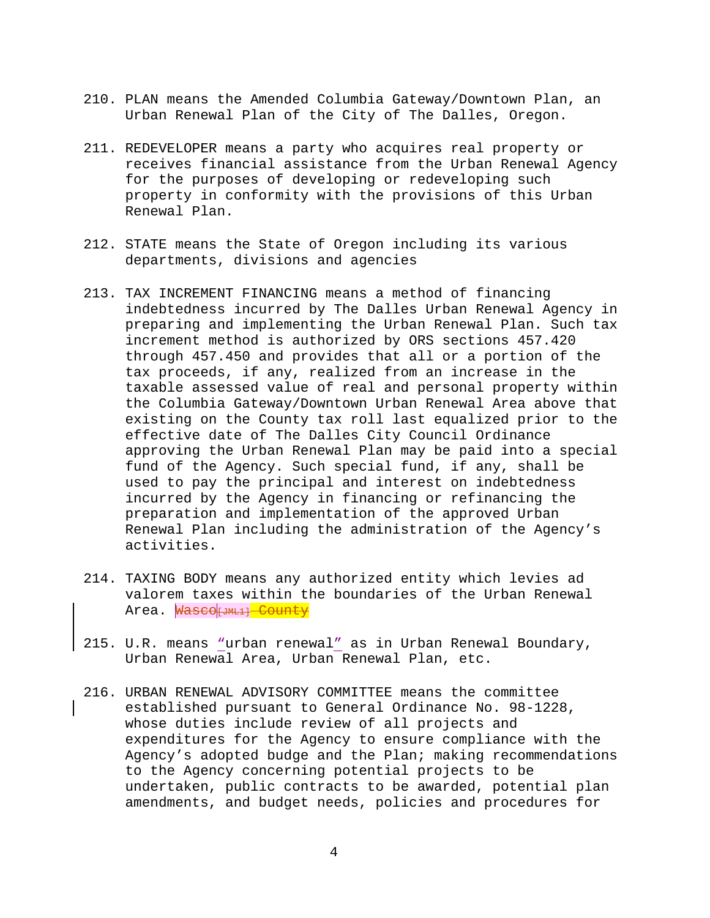- 210. PLAN means the Amended Columbia Gateway/Downtown Plan, an Urban Renewal Plan of the City of The Dalles, Oregon.
- 211. REDEVELOPER means a party who acquires real property or receives financial assistance from the Urban Renewal Agency for the purposes of developing or redeveloping such property in conformity with the provisions of this Urban Renewal Plan.
- 212. STATE means the State of Oregon including its various departments, divisions and agencies
- 213. TAX INCREMENT FINANCING means a method of financing indebtedness incurred by The Dalles Urban Renewal Agency in preparing and implementing the Urban Renewal Plan. Such tax increment method is authorized by ORS sections 457.420 through 457.450 and provides that all or a portion of the tax proceeds, if any, realized from an increase in the taxable assessed value of real and personal property within the Columbia Gateway/Downtown Urban Renewal Area above that existing on the County tax roll last equalized prior to the effective date of The Dalles City Council Ordinance approving the Urban Renewal Plan may be paid into a special fund of the Agency. Such special fund, if any, shall be used to pay the principal and interest on indebtedness incurred by the Agency in financing or refinancing the preparation and implementation of the approved Urban Renewal Plan including the administration of the Agency's activities.
- 214. TAXING BODY means any authorized entity which levies ad valorem taxes within the boundaries of the Urban Renewal Area. Wasco [JML1] County
- 215. U.R. means "urban renewal" as in Urban Renewal Boundary, Urban Renewal Area, Urban Renewal Plan, etc.
- 216. URBAN RENEWAL ADVISORY COMMITTEE means the committee established pursuant to General Ordinance No. 98-1228, whose duties include review of all projects and expenditures for the Agency to ensure compliance with the Agency's adopted budge and the Plan; making recommendations to the Agency concerning potential projects to be undertaken, public contracts to be awarded, potential plan amendments, and budget needs, policies and procedures for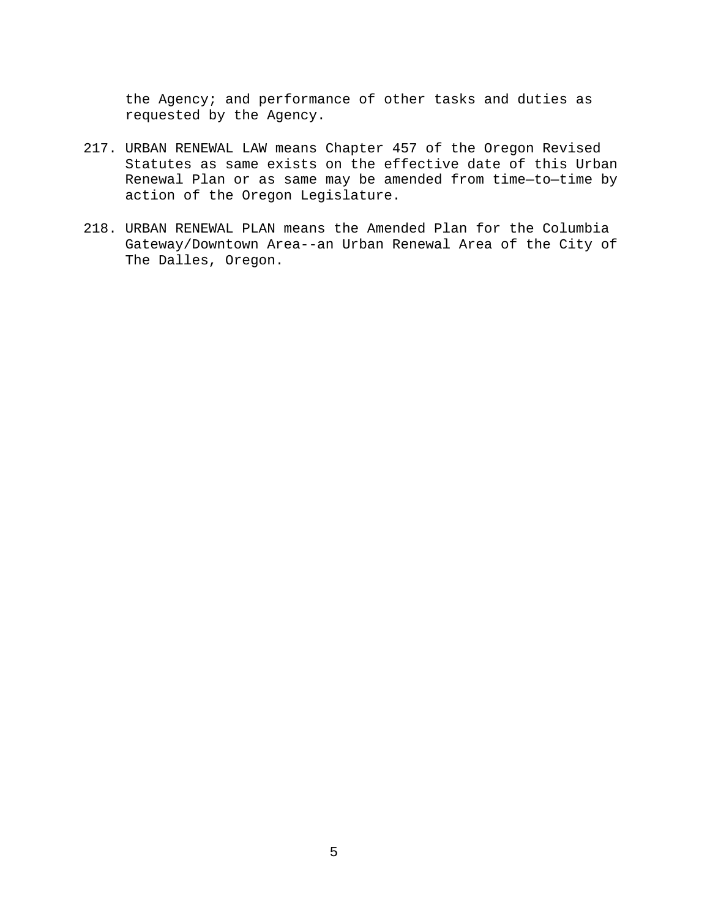the Agency; and performance of other tasks and duties as requested by the Agency.

- 217. URBAN RENEWAL LAW means Chapter 457 of the Oregon Revised Statutes as same exists on the effective date of this Urban Renewal Plan or as same may be amended from time—to—time by action of the Oregon Legislature.
- 218. URBAN RENEWAL PLAN means the Amended Plan for the Columbia Gateway/Downtown Area--an Urban Renewal Area of the City of The Dalles, Oregon.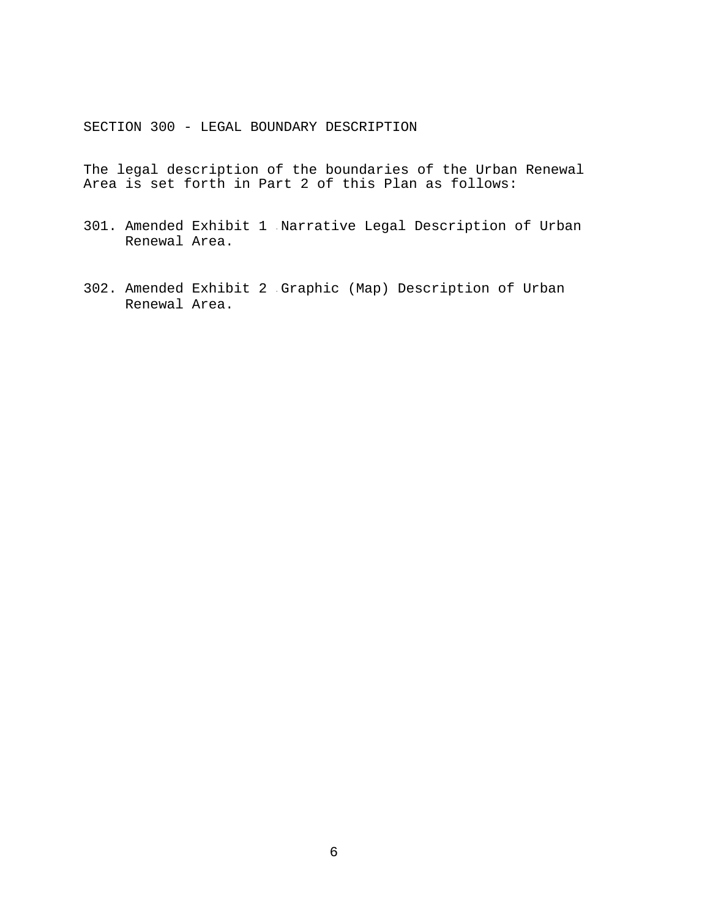SECTION 300 - LEGAL BOUNDARY DESCRIPTION

The legal description of the boundaries of the Urban Renewal Area is set forth in Part 2 of this Plan as follows:

- 301. Amended Exhibit 1 Narrative Legal Description of Urban Renewal Area.
- 302. Amended Exhibit 2 Graphic (Map) Description of Urban Renewal Area.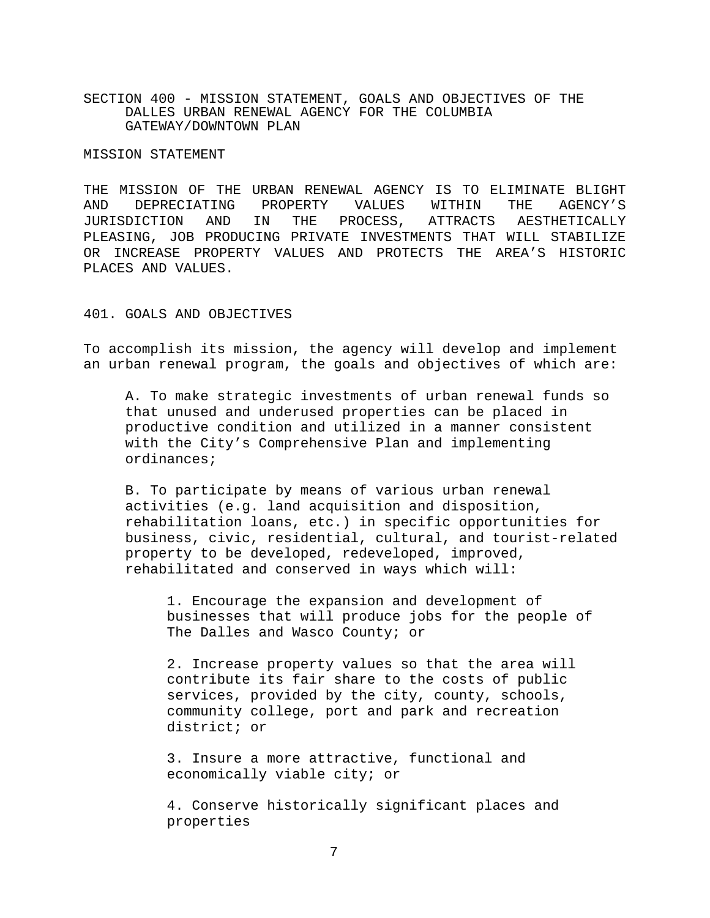SECTION 400 - MISSION STATEMENT, GOALS AND OBJECTIVES OF THE DALLES URBAN RENEWAL AGENCY FOR THE COLUMBIA GATEWAY/DOWNTOWN PLAN

MISSION STATEMENT

THE MISSION OF THE URBAN RENEWAL AGENCY IS TO ELIMINATE BLIGHT<br>AND DEPRECIATING PROPERTY VALUES WITHIN THE AGENCY'S DEPRECIATING PROPERTY VALUES WITHIN THE AGENCY'S JURISDICTION AND IN THE PROCESS, ATTRACTS AESTHETICALLY PLEASING, JOB PRODUCING PRIVATE INVESTMENTS THAT WILL STABILIZE OR INCREASE PROPERTY VALUES AND PROTECTS THE AREA'S HISTORIC PLACES AND VALUES.

## 401. GOALS AND OBJECTIVES

To accomplish its mission, the agency will develop and implement an urban renewal program, the goals and objectives of which are:

A. To make strategic investments of urban renewal funds so that unused and underused properties can be placed in productive condition and utilized in a manner consistent with the City's Comprehensive Plan and implementing ordinances;

B. To participate by means of various urban renewal activities (e.g. land acquisition and disposition, rehabilitation loans, etc.) in specific opportunities for business, civic, residential, cultural, and tourist-related property to be developed, redeveloped, improved, rehabilitated and conserved in ways which will:

1. Encourage the expansion and development of businesses that will produce jobs for the people of The Dalles and Wasco County; or

2. Increase property values so that the area will contribute its fair share to the costs of public services, provided by the city, county, schools, community college, port and park and recreation district; or

3. Insure a more attractive, functional and economically viable city; or

4. Conserve historically significant places and properties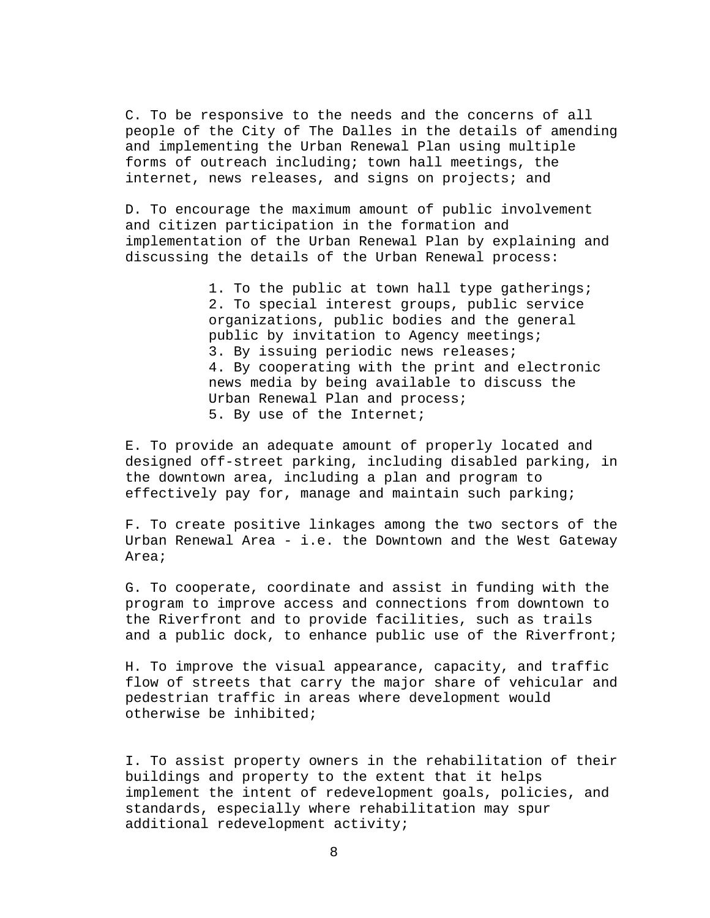C. To be responsive to the needs and the concerns of all people of the City of The Dalles in the details of amending and implementing the Urban Renewal Plan using multiple forms of outreach including; town hall meetings, the internet, news releases, and signs on projects; and

D. To encourage the maximum amount of public involvement and citizen participation in the formation and implementation of the Urban Renewal Plan by explaining and discussing the details of the Urban Renewal process:

> 1. To the public at town hall type gatherings; 2. To special interest groups, public service organizations, public bodies and the general public by invitation to Agency meetings; 3. By issuing periodic news releases; 4. By cooperating with the print and electronic news media by being available to discuss the Urban Renewal Plan and process; 5. By use of the Internet;

E. To provide an adequate amount of properly located and designed off-street parking, including disabled parking, in the downtown area, including a plan and program to effectively pay for, manage and maintain such parking;

F. To create positive linkages among the two sectors of the Urban Renewal Area - i.e. the Downtown and the West Gateway Area;

G. To cooperate, coordinate and assist in funding with the program to improve access and connections from downtown to the Riverfront and to provide facilities, such as trails and a public dock, to enhance public use of the Riverfront;

H. To improve the visual appearance, capacity, and traffic flow of streets that carry the major share of vehicular and pedestrian traffic in areas where development would otherwise be inhibited;

I. To assist property owners in the rehabilitation of their buildings and property to the extent that it helps implement the intent of redevelopment goals, policies, and standards, especially where rehabilitation may spur additional redevelopment activity;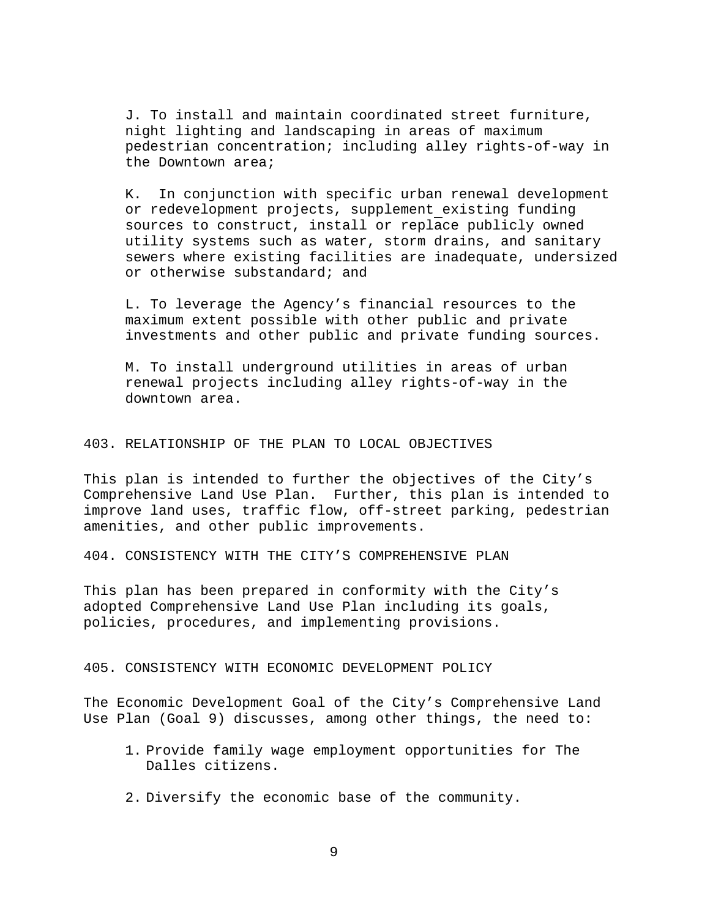J. To install and maintain coordinated street furniture, night lighting and landscaping in areas of maximum pedestrian concentration; including alley rights-of-way in the Downtown area;

K. In conjunction with specific urban renewal development or redevelopment projects, supplement existing funding sources to construct, install or replace publicly owned utility systems such as water, storm drains, and sanitary sewers where existing facilities are inadequate, undersized or otherwise substandard; and

L. To leverage the Agency's financial resources to the maximum extent possible with other public and private investments and other public and private funding sources.

M. To install underground utilities in areas of urban renewal projects including alley rights-of-way in the downtown area.

## 403. RELATIONSHIP OF THE PLAN TO LOCAL OBJECTIVES

This plan is intended to further the objectives of the City's Comprehensive Land Use Plan. Further, this plan is intended to improve land uses, traffic flow, off-street parking, pedestrian amenities, and other public improvements.

404. CONSISTENCY WITH THE CITY'S COMPREHENSIVE PLAN

This plan has been prepared in conformity with the City's adopted Comprehensive Land Use Plan including its goals, policies, procedures, and implementing provisions.

#### 405. CONSISTENCY WITH ECONOMIC DEVELOPMENT POLICY

The Economic Development Goal of the City's Comprehensive Land Use Plan (Goal 9) discusses, among other things, the need to:

- 1. Provide family wage employment opportunities for The Dalles citizens.
- 2. Diversify the economic base of the community.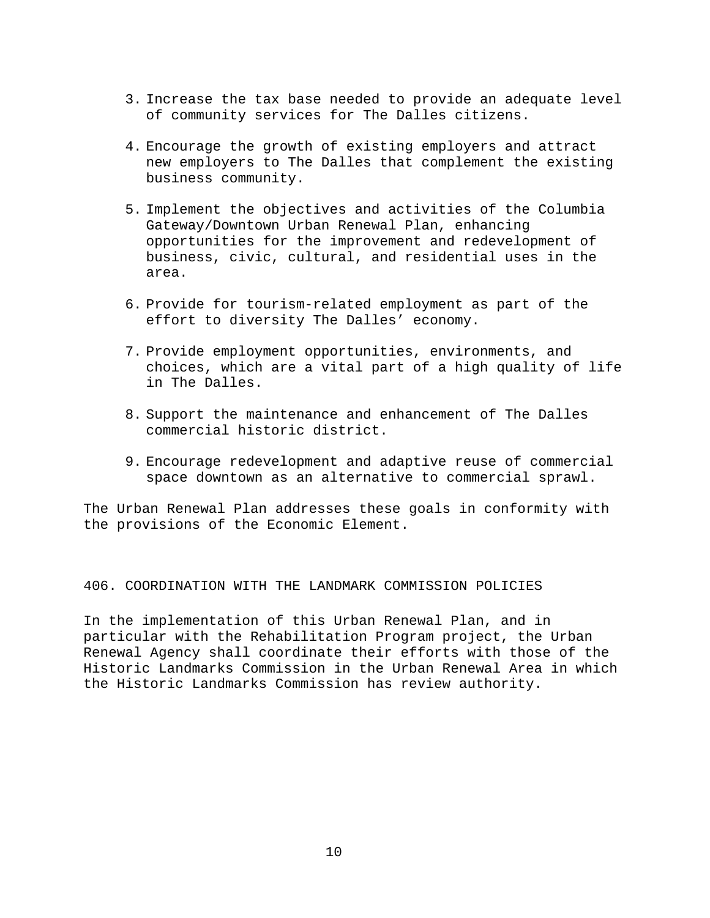- 3. Increase the tax base needed to provide an adequate level of community services for The Dalles citizens.
- 4. Encourage the growth of existing employers and attract new employers to The Dalles that complement the existing business community.
- 5. Implement the objectives and activities of the Columbia Gateway/Downtown Urban Renewal Plan, enhancing opportunities for the improvement and redevelopment of business, civic, cultural, and residential uses in the area.
- 6. Provide for tourism-related employment as part of the effort to diversity The Dalles' economy.
- 7. Provide employment opportunities, environments, and choices, which are a vital part of a high quality of life in The Dalles.
- 8. Support the maintenance and enhancement of The Dalles commercial historic district.
- 9. Encourage redevelopment and adaptive reuse of commercial space downtown as an alternative to commercial sprawl.

The Urban Renewal Plan addresses these goals in conformity with the provisions of the Economic Element.

## 406. COORDINATION WITH THE LANDMARK COMMISSION POLICIES

In the implementation of this Urban Renewal Plan, and in particular with the Rehabilitation Program project, the Urban Renewal Agency shall coordinate their efforts with those of the Historic Landmarks Commission in the Urban Renewal Area in which the Historic Landmarks Commission has review authority.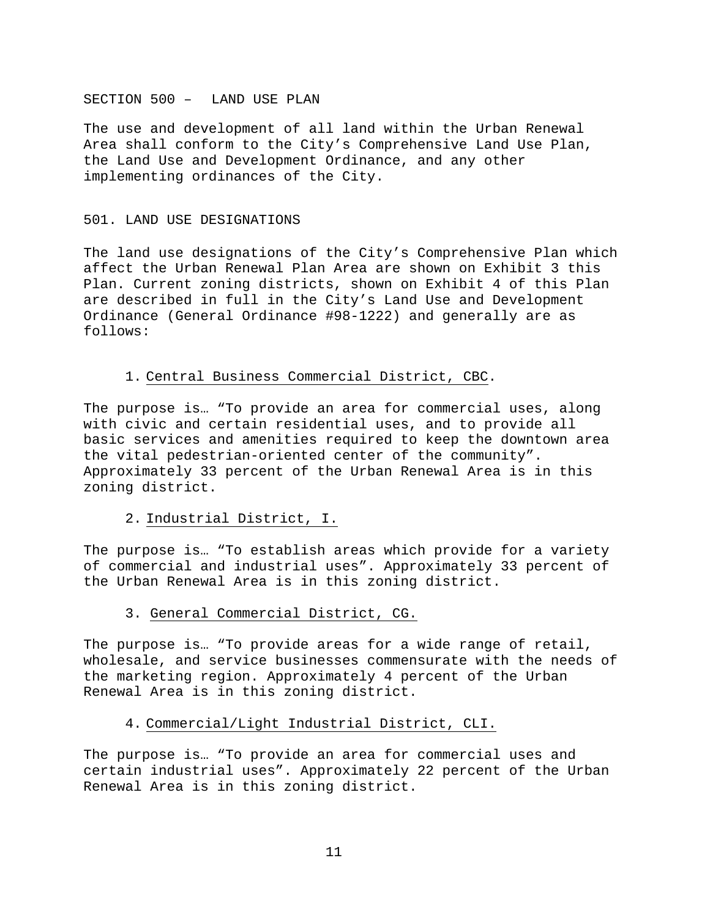## SECTION 500 – LAND USE PLAN

The use and development of all land within the Urban Renewal Area shall conform to the City's Comprehensive Land Use Plan, the Land Use and Development Ordinance, and any other implementing ordinances of the City.

## 501. LAND USE DESIGNATIONS

The land use designations of the City's Comprehensive Plan which affect the Urban Renewal Plan Area are shown on Exhibit 3 this Plan. Current zoning districts, shown on Exhibit 4 of this Plan are described in full in the City's Land Use and Development Ordinance (General Ordinance #98-1222) and generally are as follows:

## 1. Central Business Commercial District, CBC.

The purpose is… "To provide an area for commercial uses, along with civic and certain residential uses, and to provide all basic services and amenities required to keep the downtown area the vital pedestrian-oriented center of the community". Approximately 33 percent of the Urban Renewal Area is in this zoning district.

## 2. Industrial District, I.

The purpose is… "To establish areas which provide for a variety of commercial and industrial uses". Approximately 33 percent of the Urban Renewal Area is in this zoning district.

## 3. General Commercial District, CG.

The purpose is… "To provide areas for a wide range of retail, wholesale, and service businesses commensurate with the needs of the marketing region. Approximately 4 percent of the Urban Renewal Area is in this zoning district.

## 4. Commercial/Light Industrial District, CLI.

The purpose is… "To provide an area for commercial uses and certain industrial uses". Approximately 22 percent of the Urban Renewal Area is in this zoning district.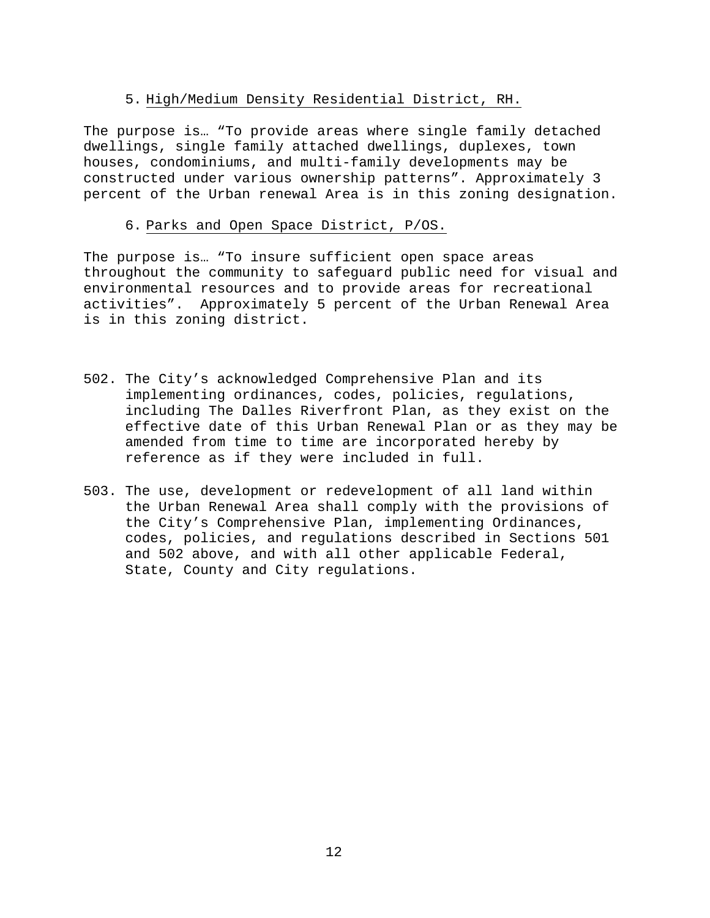# 5. High/Medium Density Residential District, RH.

The purpose is… "To provide areas where single family detached dwellings, single family attached dwellings, duplexes, town houses, condominiums, and multi-family developments may be constructed under various ownership patterns". Approximately 3 percent of the Urban renewal Area is in this zoning designation.

# 6. Parks and Open Space District, P/OS.

The purpose is… "To insure sufficient open space areas throughout the community to safeguard public need for visual and environmental resources and to provide areas for recreational activities". Approximately 5 percent of the Urban Renewal Area is in this zoning district.

- 502. The City's acknowledged Comprehensive Plan and its implementing ordinances, codes, policies, regulations, including The Dalles Riverfront Plan, as they exist on the effective date of this Urban Renewal Plan or as they may be amended from time to time are incorporated hereby by reference as if they were included in full.
- 503. The use, development or redevelopment of all land within the Urban Renewal Area shall comply with the provisions of the City's Comprehensive Plan, implementing Ordinances, codes, policies, and regulations described in Sections 501 and 502 above, and with all other applicable Federal, State, County and City regulations.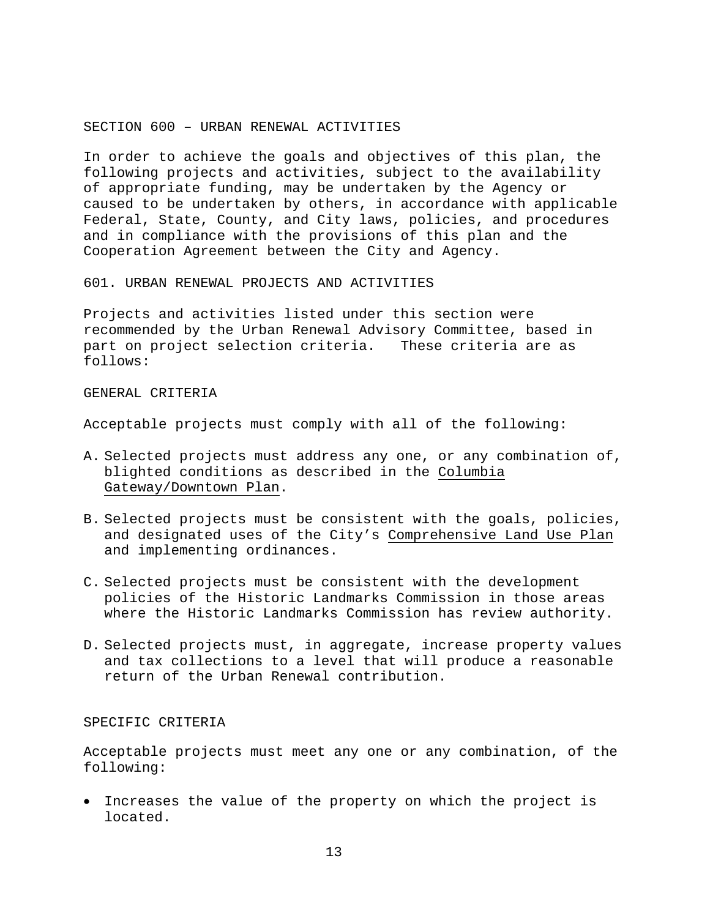## SECTION 600 – URBAN RENEWAL ACTIVITIES

In order to achieve the goals and objectives of this plan, the following projects and activities, subject to the availability of appropriate funding, may be undertaken by the Agency or caused to be undertaken by others, in accordance with applicable Federal, State, County, and City laws, policies, and procedures and in compliance with the provisions of this plan and the Cooperation Agreement between the City and Agency.

601. URBAN RENEWAL PROJECTS AND ACTIVITIES

Projects and activities listed under this section were recommended by the Urban Renewal Advisory Committee, based in part on project selection criteria. These criteria are as follows:

GENERAL CRITERIA

Acceptable projects must comply with all of the following:

- A. Selected projects must address any one, or any combination of, blighted conditions as described in the Columbia Gateway/Downtown Plan.
- B. Selected projects must be consistent with the goals, policies, and designated uses of the City's Comprehensive Land Use Plan and implementing ordinances.
- C. Selected projects must be consistent with the development policies of the Historic Landmarks Commission in those areas where the Historic Landmarks Commission has review authority.
- D. Selected projects must, in aggregate, increase property values and tax collections to a level that will produce a reasonable return of the Urban Renewal contribution.

## SPECIFIC CRITERIA

Acceptable projects must meet any one or any combination, of the following:

• Increases the value of the property on which the project is located.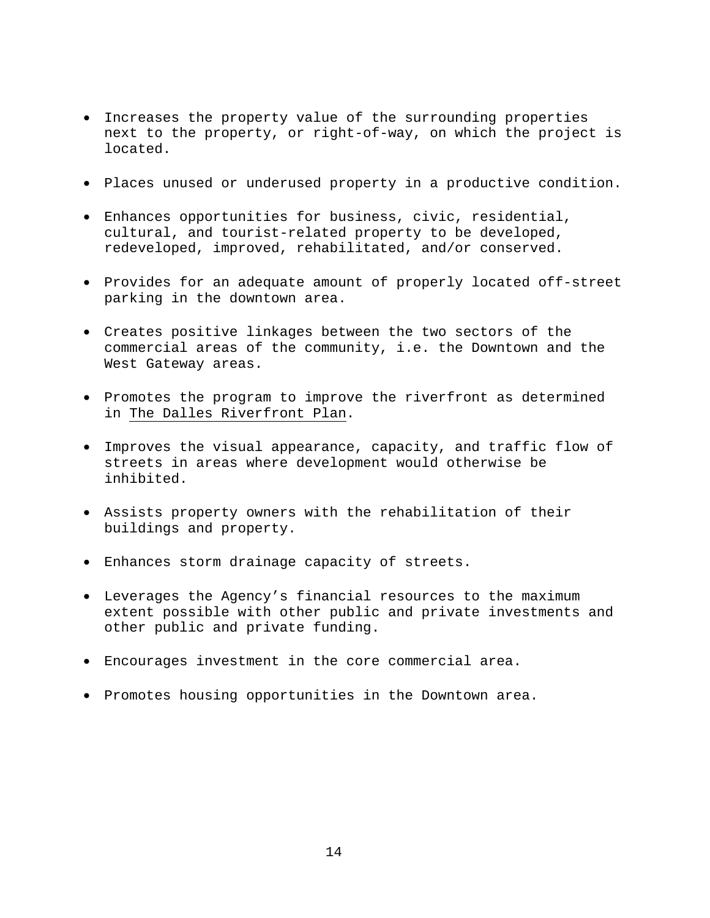- Increases the property value of the surrounding properties next to the property, or right-of-way, on which the project is located.
- Places unused or underused property in a productive condition.
- Enhances opportunities for business, civic, residential, cultural, and tourist-related property to be developed, redeveloped, improved, rehabilitated, and/or conserved.
- Provides for an adequate amount of properly located off-street parking in the downtown area.
- Creates positive linkages between the two sectors of the commercial areas of the community, i.e. the Downtown and the West Gateway areas.
- Promotes the program to improve the riverfront as determined in The Dalles Riverfront Plan.
- Improves the visual appearance, capacity, and traffic flow of streets in areas where development would otherwise be inhibited.
- Assists property owners with the rehabilitation of their buildings and property.
- Enhances storm drainage capacity of streets.
- Leverages the Agency's financial resources to the maximum extent possible with other public and private investments and other public and private funding.
- Encourages investment in the core commercial area.
- Promotes housing opportunities in the Downtown area.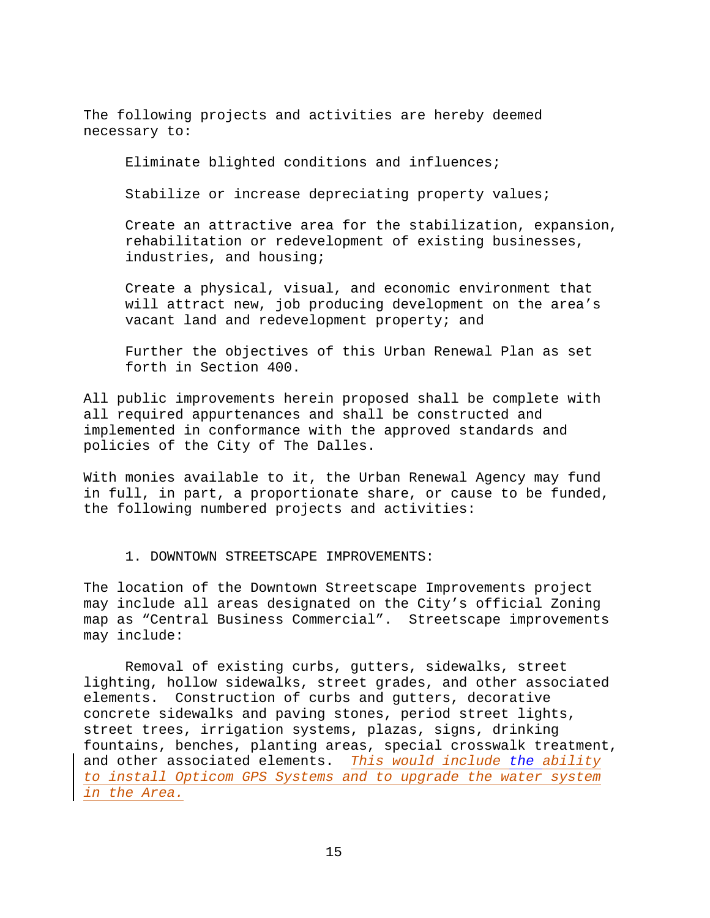The following projects and activities are hereby deemed necessary to:

Eliminate blighted conditions and influences;

Stabilize or increase depreciating property values;

Create an attractive area for the stabilization, expansion, rehabilitation or redevelopment of existing businesses, industries, and housing;

Create a physical, visual, and economic environment that will attract new, job producing development on the area's vacant land and redevelopment property; and

Further the objectives of this Urban Renewal Plan as set forth in Section 400.

All public improvements herein proposed shall be complete with all required appurtenances and shall be constructed and implemented in conformance with the approved standards and policies of the City of The Dalles.

With monies available to it, the Urban Renewal Agency may fund in full, in part, a proportionate share, or cause to be funded, the following numbered projects and activities:

1. DOWNTOWN STREETSCAPE IMPROVEMENTS:

The location of the Downtown Streetscape Improvements project may include all areas designated on the City's official Zoning map as "Central Business Commercial". Streetscape improvements may include:

Removal of existing curbs, gutters, sidewalks, street lighting, hollow sidewalks, street grades, and other associated elements. Construction of curbs and gutters, decorative concrete sidewalks and paving stones, period street lights, street trees, irrigation systems, plazas, signs, drinking fountains, benches, planting areas, special crosswalk treatment, and other associated elements. *This would include the ability to install Opticom GPS Systems and to upgrade the water system in the Area.*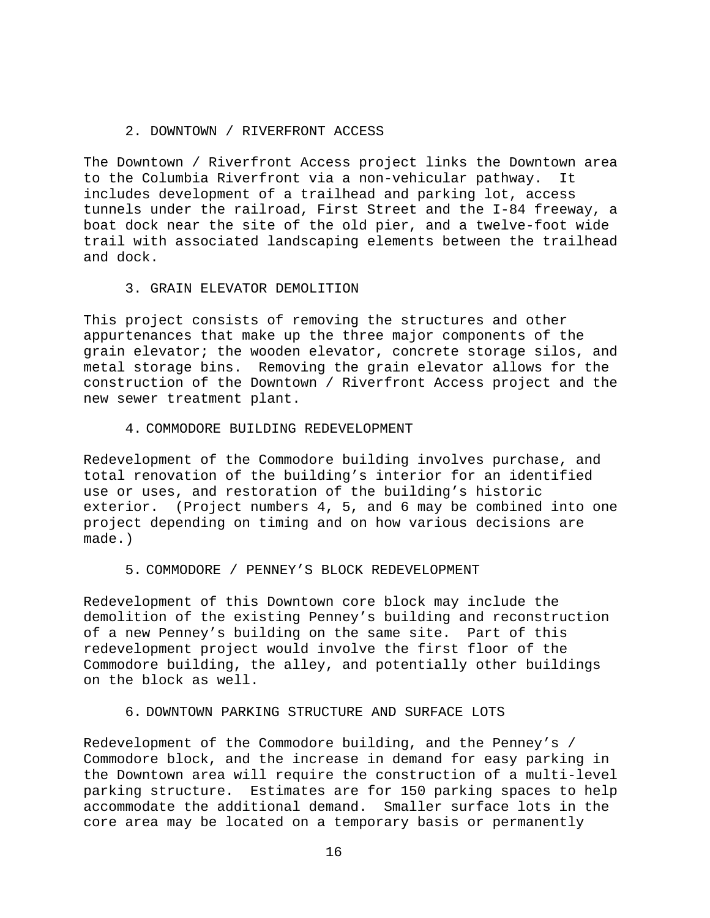## 2. DOWNTOWN / RIVERFRONT ACCESS

The Downtown / Riverfront Access project links the Downtown area<br>to the Columbia Riverfront via a non-vehicular pathway. It to the Columbia Riverfront via a non-vehicular pathway. includes development of a trailhead and parking lot, access tunnels under the railroad, First Street and the I-84 freeway, a boat dock near the site of the old pier, and a twelve-foot wide trail with associated landscaping elements between the trailhead and dock.

## 3. GRAIN ELEVATOR DEMOLITION

This project consists of removing the structures and other appurtenances that make up the three major components of the grain elevator; the wooden elevator, concrete storage silos, and metal storage bins. Removing the grain elevator allows for the construction of the Downtown / Riverfront Access project and the new sewer treatment plant.

#### 4. COMMODORE BUILDING REDEVELOPMENT

Redevelopment of the Commodore building involves purchase, and total renovation of the building's interior for an identified use or uses, and restoration of the building's historic exterior. (Project numbers 4, 5, and 6 may be combined into one project depending on timing and on how various decisions are made.)

#### 5. COMMODORE / PENNEY'S BLOCK REDEVELOPMENT

Redevelopment of this Downtown core block may include the demolition of the existing Penney's building and reconstruction of a new Penney's building on the same site. Part of this redevelopment project would involve the first floor of the Commodore building, the alley, and potentially other buildings on the block as well.

#### 6. DOWNTOWN PARKING STRUCTURE AND SURFACE LOTS

Redevelopment of the Commodore building, and the Penney's / Commodore block, and the increase in demand for easy parking in the Downtown area will require the construction of a multi-level parking structure. Estimates are for 150 parking spaces to help accommodate the additional demand. Smaller surface lots in the core area may be located on a temporary basis or permanently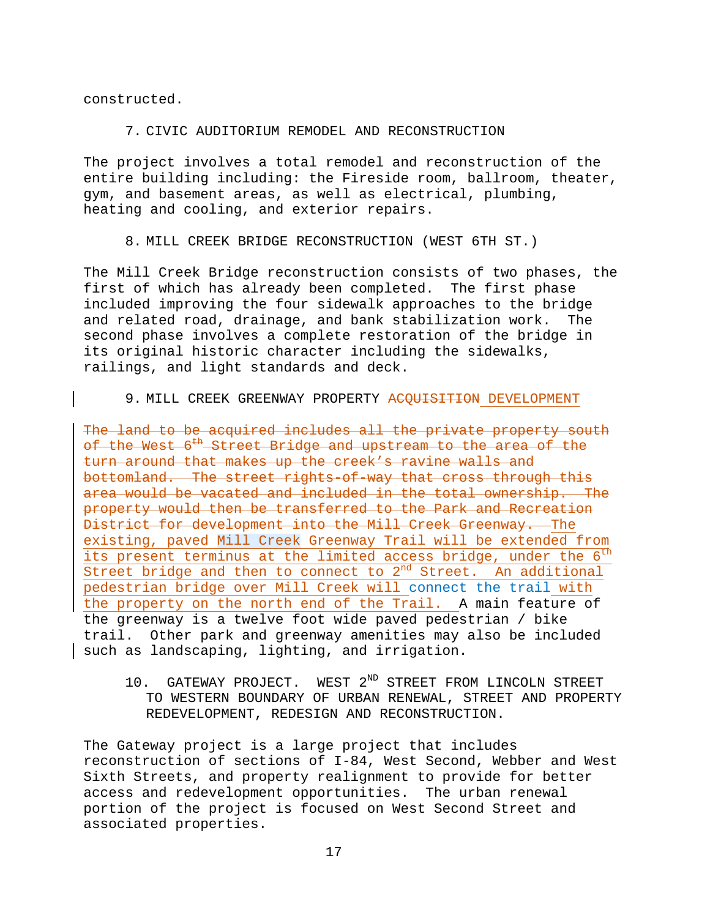constructed.

#### 7. CIVIC AUDITORIUM REMODEL AND RECONSTRUCTION

The project involves a total remodel and reconstruction of the entire building including: the Fireside room, ballroom, theater, gym, and basement areas, as well as electrical, plumbing, heating and cooling, and exterior repairs.

8. MILL CREEK BRIDGE RECONSTRUCTION (WEST 6TH ST.)

The Mill Creek Bridge reconstruction consists of two phases, the first of which has already been completed. The first phase included improving the four sidewalk approaches to the bridge and related road, drainage, and bank stabilization work. The second phase involves a complete restoration of the bridge in its original historic character including the sidewalks, railings, and light standards and deck.

#### 9. MILL CREEK GREENWAY PROPERTY ACQUISITION DEVELOPMENT

The land to be acquired includes all the private property south of the West 6<sup>th</sup> Street Bridge and upstream to the area of the turn around that makes up the creek's ravine walls and bottomland. The street rights-of-way that cross through this area would be vacated and included in the total ownership. The property would then be transferred to the Park and Recreation District for development into the Mill Creek Greenway. The existing, paved Mill Creek Greenway Trail will be extended from its present terminus at the limited access bridge, under the  $6<sup>th</sup>$ Street bridge and then to connect to 2<sup>nd</sup> Street. An additional pedestrian bridge over Mill Creek will connect the trail with the property on the north end of the Trail. A main feature of the greenway is a twelve foot wide paved pedestrian / bike trail. Other park and greenway amenities may also be included such as landscaping, lighting, and irrigation.

10. GATEWAY PROJECT. WEST  $2^{ND}$  STREET FROM LINCOLN STREET TO WESTERN BOUNDARY OF URBAN RENEWAL, STREET AND PROPERTY REDEVELOPMENT, REDESIGN AND RECONSTRUCTION.

The Gateway project is a large project that includes reconstruction of sections of I-84, West Second, Webber and West Sixth Streets, and property realignment to provide for better access and redevelopment opportunities. The urban renewal portion of the project is focused on West Second Street and associated properties.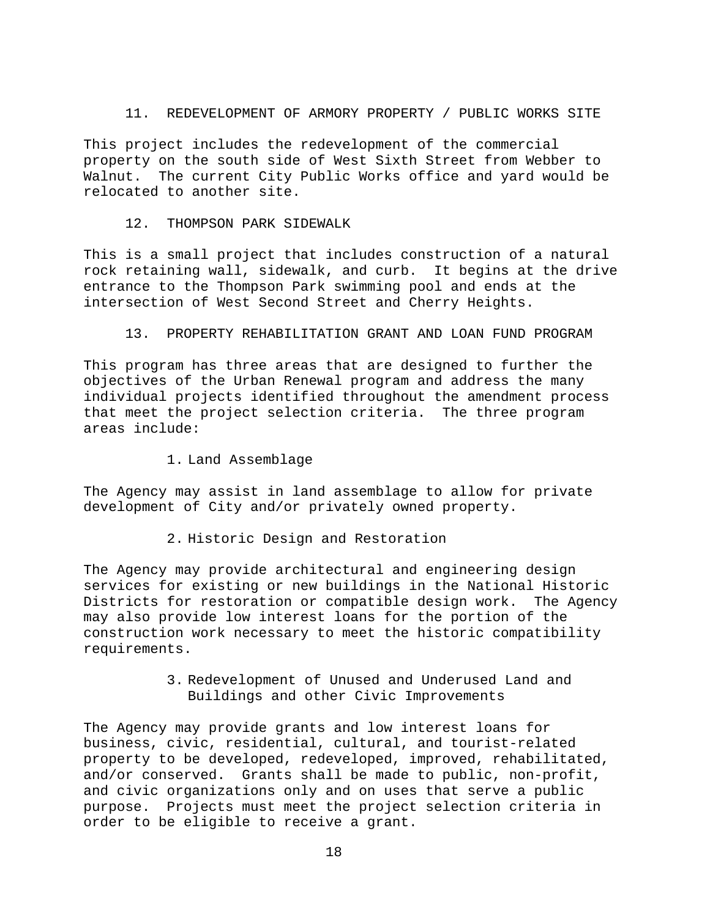## 11. REDEVELOPMENT OF ARMORY PROPERTY / PUBLIC WORKS SITE

This project includes the redevelopment of the commercial property on the south side of West Sixth Street from Webber to Walnut. The current City Public Works office and yard would be relocated to another site.

## 12. THOMPSON PARK SIDEWALK

This is a small project that includes construction of a natural rock retaining wall, sidewalk, and curb. It begins at the drive entrance to the Thompson Park swimming pool and ends at the intersection of West Second Street and Cherry Heights.

13. PROPERTY REHABILITATION GRANT AND LOAN FUND PROGRAM

This program has three areas that are designed to further the objectives of the Urban Renewal program and address the many individual projects identified throughout the amendment process that meet the project selection criteria. The three program areas include:

1. Land Assemblage

The Agency may assist in land assemblage to allow for private development of City and/or privately owned property.

2. Historic Design and Restoration

The Agency may provide architectural and engineering design services for existing or new buildings in the National Historic Districts for restoration or compatible design work. The Agency may also provide low interest loans for the portion of the construction work necessary to meet the historic compatibility requirements.

> 3. Redevelopment of Unused and Underused Land and Buildings and other Civic Improvements

The Agency may provide grants and low interest loans for business, civic, residential, cultural, and tourist-related property to be developed, redeveloped, improved, rehabilitated, and/or conserved. Grants shall be made to public, non-profit, and civic organizations only and on uses that serve a public purpose. Projects must meet the project selection criteria in order to be eligible to receive a grant.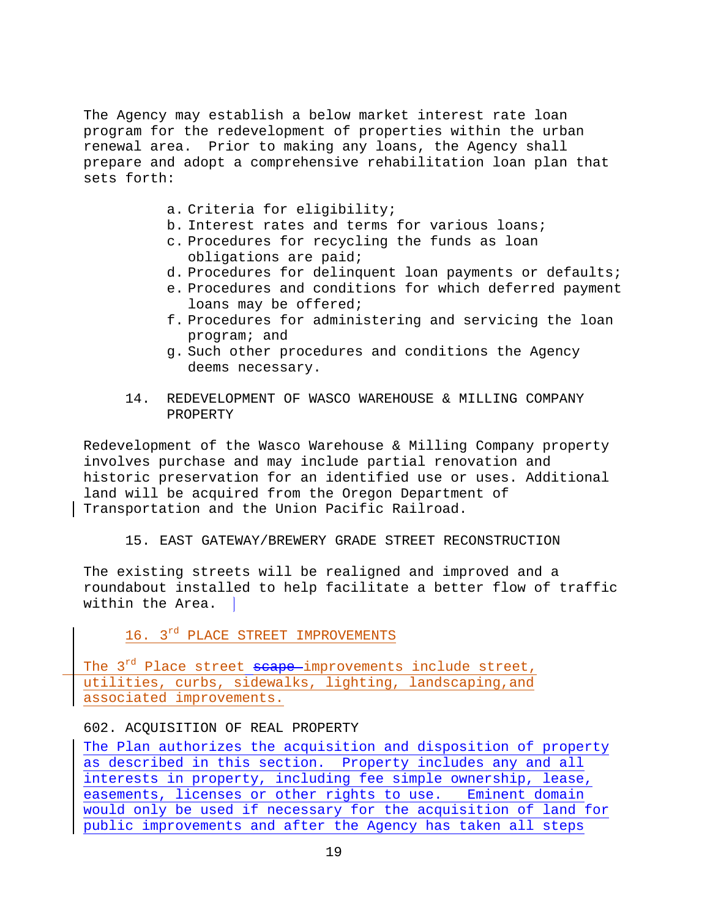The Agency may establish a below market interest rate loan program for the redevelopment of properties within the urban renewal area. Prior to making any loans, the Agency shall prepare and adopt a comprehensive rehabilitation loan plan that sets forth:

- a. Criteria for eligibility;
- b. Interest rates and terms for various loans;
- c. Procedures for recycling the funds as loan obligations are paid;
- d. Procedures for delinquent loan payments or defaults;
- e. Procedures and conditions for which deferred payment loans may be offered;
- f. Procedures for administering and servicing the loan program; and
- g. Such other procedures and conditions the Agency deems necessary.
- 14. REDEVELOPMENT OF WASCO WAREHOUSE & MILLING COMPANY PROPERTY

Redevelopment of the Wasco Warehouse & Milling Company property involves purchase and may include partial renovation and historic preservation for an identified use or uses. Additional land will be acquired from the Oregon Department of Transportation and the Union Pacific Railroad.

15. EAST GATEWAY/BREWERY GRADE STREET RECONSTRUCTION

The existing streets will be realigned and improved and a roundabout installed to help facilitate a better flow of traffic within the Area.

16. 3<sup>rd</sup> PLACE STREET IMPROVEMENTS

The 3<sup>rd</sup> Place street scape improvements include street, utilities, curbs, sidewalks, lighting, landscaping,and associated improvements.

## 602. ACQUISITION OF REAL PROPERTY

The Plan authorizes the acquisition and disposition of property as described in this section. Property includes any and all interests in property, including fee simple ownership, lease, easements, licenses or other rights to use. Eminent domain would only be used if necessary for the acquisition of land for public improvements and after the Agency has taken all steps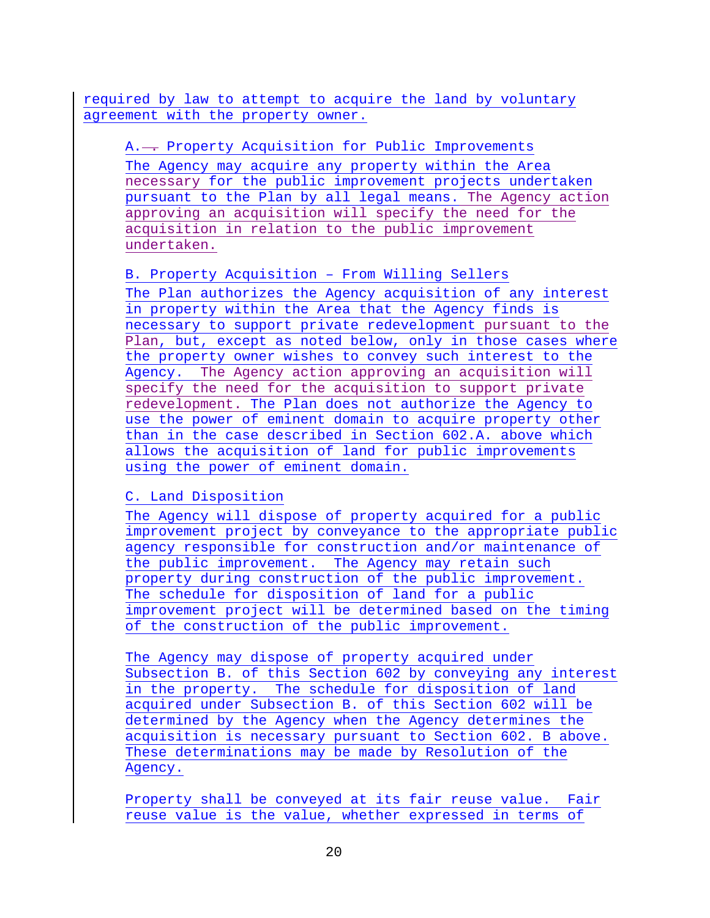required by law to attempt to acquire the land by voluntary agreement with the property owner.

A. -- Property Acquisition for Public Improvements The Agency may acquire any property within the Area necessary for the public improvement projects undertaken pursuant to the Plan by all legal means. The Agency action approving an acquisition will specify the need for the acquisition in relation to the public improvement undertaken.

B. Property Acquisition – From Willing Sellers The Plan authorizes the Agency acquisition of any interest in property within the Area that the Agency finds is necessary to support private redevelopment pursuant to the Plan, but, except as noted below, only in those cases where the property owner wishes to convey such interest to the Agency. The Agency action approving an acquisition will specify the need for the acquisition to support private redevelopment. The Plan does not authorize the Agency to use the power of eminent domain to acquire property other than in the case described in Section 602.A. above which allows the acquisition of land for public improvements using the power of eminent domain.

C. Land Disposition

The Agency will dispose of property acquired for a public improvement project by conveyance to the appropriate public agency responsible for construction and/or maintenance of the public improvement. The Agency may retain such property during construction of the public improvement. The schedule for disposition of land for a public improvement project will be determined based on the timing of the construction of the public improvement.

The Agency may dispose of property acquired under Subsection B. of this Section 602 by conveying any interest in the property. The schedule for disposition of land acquired under Subsection B. of this Section 602 will be determined by the Agency when the Agency determines the acquisition is necessary pursuant to Section 602. B above. These determinations may be made by Resolution of the Agency.

Property shall be conveyed at its fair reuse value. Fair reuse value is the value, whether expressed in terms of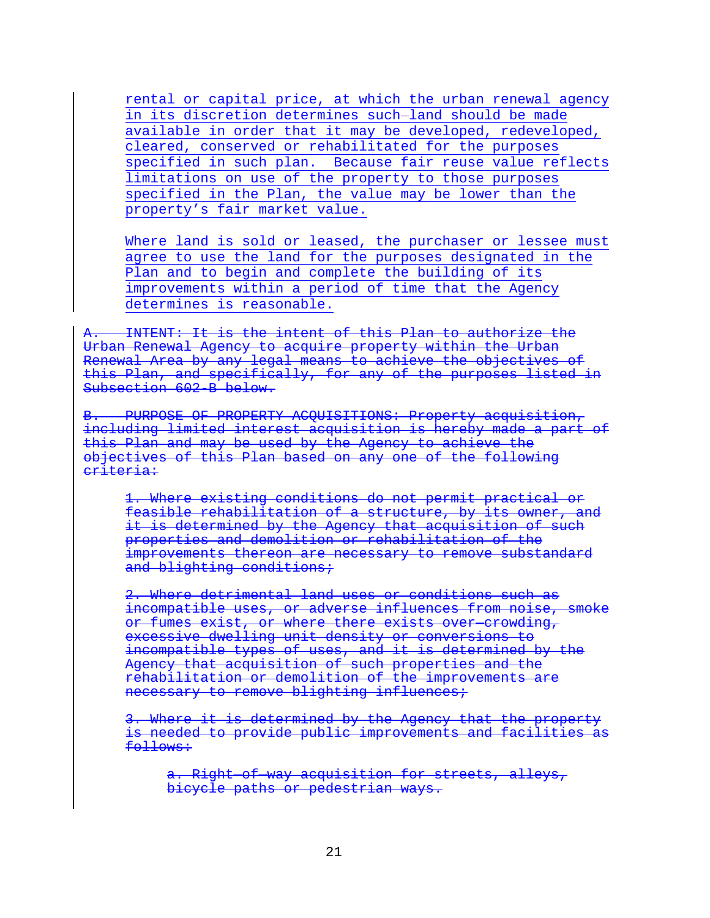rental or capital price, at which the urban renewal agency in its discretion determines such-land should be made available in order that it may be developed, redeveloped, cleared, conserved or rehabilitated for the purposes specified in such plan. Because fair reuse value reflects limitations on use of the property to those purposes specified in the Plan, the value may be lower than the property's fair market value.

Where land is sold or leased, the purchaser or lessee must agree to use the land for the purposes designated in the Plan and to begin and complete the building of its improvements within a period of time that the Agency determines is reasonable.

A. INTENT: It is the intent of this Plan to authorize the Urban Renewal Agency to acquire property within the Urban Renewal Area by any legal means to achieve the objectives of this Plan, and specifically, for any of the purposes listed in Subsection 602-B below.

B. PURPOSE OF PROPERTY ACQUISITIONS: Property acquisition,<br>including limited interest acquisition is hereby made a part of this Plan and may be used by the Agency to achieve the objectives of this Plan based on any one of the following criteria:

1. Where existing conditions do not permit practical or feasible rehabilitation of a structure, by its owner, and it is determined by the Agency that acquisition of such properties and demolition or rehabilitation of the improvements thereon are necessary to remove substandard and blighting conditions;

2. Where detrimental land uses or conditions such as incompatible uses, or adverse influences from noise, smoke or fumes exist, or where there exists over crowding, excessive dwelling unit density or conversions to incompatible types of uses, and it is determined by the Agency that acquisition of such properties and the rehabilitation or demolition of the improvements are necessary to remove blighting influences;

3. Where it is determined by the Agency that the property is needed to provide public improvements and facilities as follows:

a. Right—of—way acquisition for streets, alleys, bicycle paths or pedestrian ways.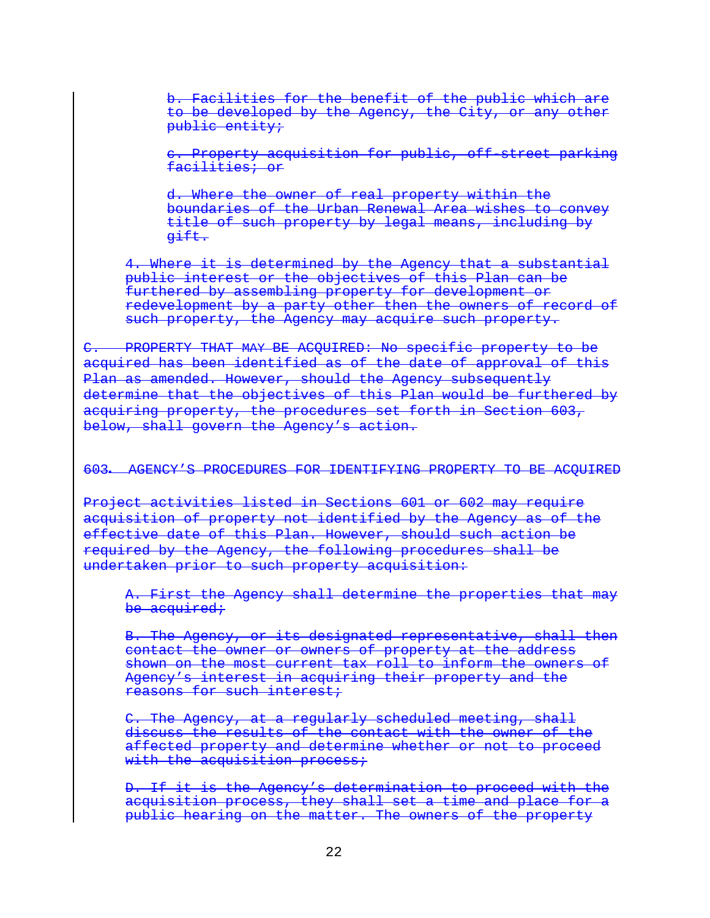Facilities for the benefit of the public which are to be developed by the Agency, the City, or any other public entity;

c. Property acquisition for public, off-street parking facilities; or

d. Where the owner of real property within the<br>boundaries of the Urban Renewal Area wishes to convey boundaries of the Urban Renewal Area wishes to title of such property by legal means, including by gift.

4. Where it is determined by the Agency that a substantial public interest or the objectives of this Plan can be furthered by assembling property for development or redevelopment by a party other then the owners of record of such property, the Agency may acquire such property.

C. PROPERTY THAT MAY BE ACQUIRED: No specific property to be acquired has been identified as of the date of approval of this Plan as amended. However, should the Agency subsequently determine that the objectives of this Plan would be furthered by acquiring property, the procedures set forth in Section 603, below, shall govern the Agency's action.

603• AGENCY'S PROCEDURES FOR IDENTIFYING PROPERTY TO BE ACQUIRED

Project activities listed in Sections 601 or 602 may require acquisition of property not identified by the Agency as of the effective date of this Plan. However, should such action be required by the Agency, the following procedures shall be undertaken prior to such property acquisition:

A. First the Agency shall determine the properties that may be acquired;

B. The Agency, or its designated representative, shall then contact the owner or owners of property at the address shown on the most current tax roll to inform the owners Agency's interest in acquiring their property and the reasons for such interest;

C. The Agency, at a regularly scheduled meeting, shall discuss the results of the contact with the owner of the affected property and determine whether or not to proceed with the acquisition process;

D. If it is the Agency's determination to proceed with the acquisition process, they shall set a time and place for a public hearing on the matter. The owners of the property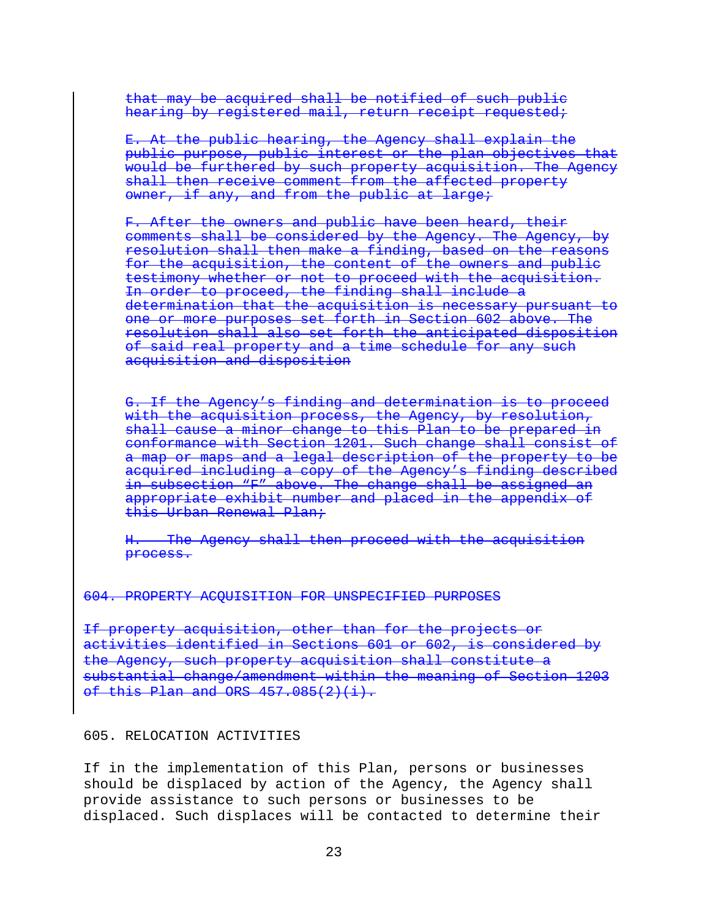that may be acquired shall be notified of such public hearing by registered mail, return receipt requested;

E. At the public hearing, the Agency shall explain the public purpose, public interest or the plan objectives that would be furthered by such property acquisition. The Agency shall then receive comment from the affected property owner, if any, and from the public at large;

F. After the owners and public have been heard, their comments shall be considered by the Agency. The Agency, by resolution shall then make a finding, based on the reasons for the acquisition, the content of the owners and public testimony whether or not to proceed with the acquisition. In order to proceed, the finding shall include a determination that the acquisition is necessary pursuant to one or more purposes set forth in Section 602 above. The resolution shall also set forth the anticipated disposition of said real property and a time schedule for any such acquisition and disposition

G. If the Agency's finding and determination is to proceed with the acquisition process, the Agency, by resolution, shall cause a minor change to this Plan to be prepared in conformance with Section 1201. Such change shall consist of a map or maps and a legal description of the property to be acquired including a copy of the Agency's finding described in subsection "F" above. The change shall be assigned an appropriate exhibit number and placed in the appendix of this Urban Renewal Plan;

H. The Agency shall then proceed with the acquisition process.

604. PROPERTY ACQUISITION FOR UNSPECIFIED PURPOSES

If property acquisition, other than for the projects or activities identified in Sections 601 or 602, is considered by the Agency, such property acquisition shall constitute a substantial change/amendment within the meaning of Section 1203 of this Plan and ORS  $457.085(2)(i)$ .

## 605. RELOCATION ACTIVITIES

If in the implementation of this Plan, persons or businesses should be displaced by action of the Agency, the Agency shall provide assistance to such persons or businesses to be displaced. Such displaces will be contacted to determine their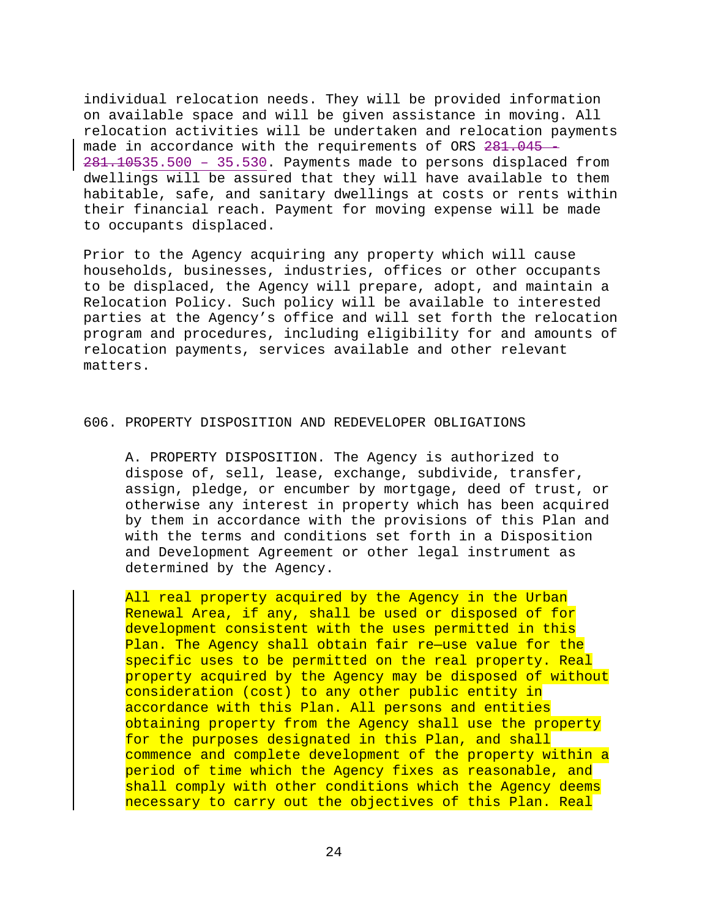individual relocation needs. They will be provided information on available space and will be given assistance in moving. All relocation activities will be undertaken and relocation payments made in accordance with the requirements of ORS 281.045 281.10535.500 – 35.530. Payments made to persons displaced from dwellings will be assured that they will have available to them habitable, safe, and sanitary dwellings at costs or rents within their financial reach. Payment for moving expense will be made to occupants displaced.

Prior to the Agency acquiring any property which will cause households, businesses, industries, offices or other occupants to be displaced, the Agency will prepare, adopt, and maintain a Relocation Policy. Such policy will be available to interested parties at the Agency's office and will set forth the relocation program and procedures, including eligibility for and amounts of relocation payments, services available and other relevant matters.

## 606. PROPERTY DISPOSITION AND REDEVELOPER OBLIGATIONS

A. PROPERTY DISPOSITION. The Agency is authorized to dispose of, sell, lease, exchange, subdivide, transfer, assign, pledge, or encumber by mortgage, deed of trust, or otherwise any interest in property which has been acquired by them in accordance with the provisions of this Plan and with the terms and conditions set forth in a Disposition and Development Agreement or other legal instrument as determined by the Agency.

All real property acquired by the Agency in the Urban Renewal Area, if any, shall be used or disposed of for development consistent with the uses permitted in this Plan. The Agency shall obtain fair re—use value for the specific uses to be permitted on the real property. Real property acquired by the Agency may be disposed of without consideration (cost) to any other public entity in accordance with this Plan. All persons and entities obtaining property from the Agency shall use the property for the purposes designated in this Plan, and shall commence and complete development of the property within a period of time which the Agency fixes as reasonable, and shall comply with other conditions which the Agency deems necessary to carry out the objectives of this Plan. Real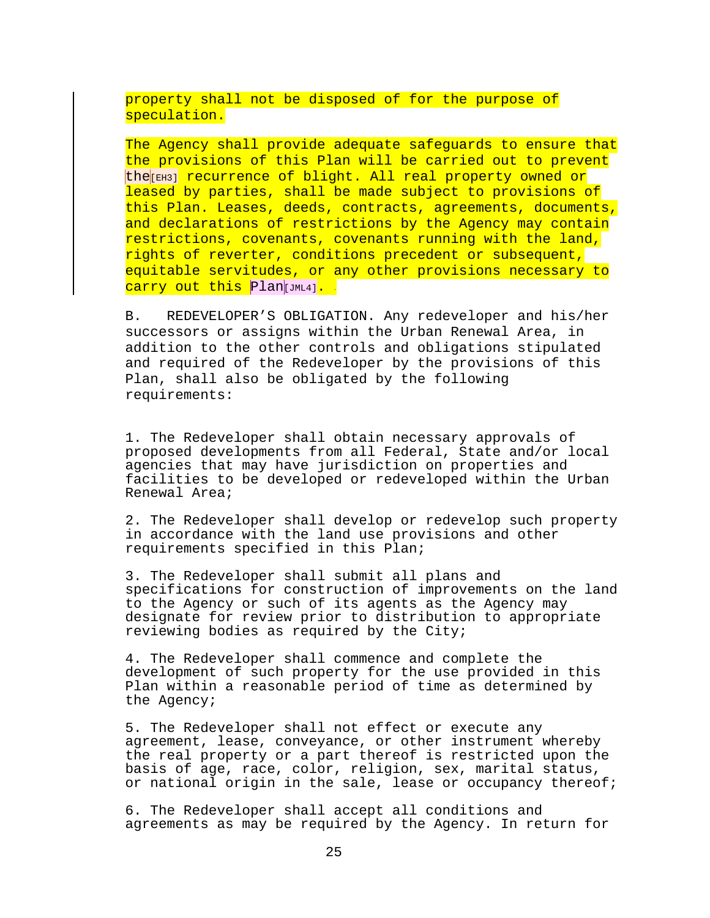property shall not be disposed of for the purpose of speculation.

The Agency shall provide adequate safeguards to ensure that the provisions of this Plan will be carried out to prevent the [EH3] recurrence of blight. All real property owned or leased by parties, shall be made subject to provisions of this Plan. Leases, deeds, contracts, agreements, documents, and declarations of restrictions by the Agency may contain restrictions, covenants, covenants running with the land, rights of reverter, conditions precedent or subsequent, equitable servitudes, or any other provisions necessary to Carry out this Plan [JML4].

B. REDEVELOPER'S OBLIGATION. Any redeveloper and his/her successors or assigns within the Urban Renewal Area, in addition to the other controls and obligations stipulated and required of the Redeveloper by the provisions of this Plan, shall also be obligated by the following requirements:

1. The Redeveloper shall obtain necessary approvals of proposed developments from all Federal, State and/or local agencies that may have jurisdiction on properties and facilities to be developed or redeveloped within the Urban Renewal Area;

2. The Redeveloper shall develop or redevelop such property in accordance with the land use provisions and other requirements specified in this Plan;

3. The Redeveloper shall submit all plans and specifications for construction of improvements on the land to the Agency or such of its agents as the Agency may designate for review prior to distribution to appropriate reviewing bodies as required by the City;

4. The Redeveloper shall commence and complete the development of such property for the use provided in this Plan within a reasonable period of time as determined by the Agency;

5. The Redeveloper shall not effect or execute any agreement, lease, conveyance, or other instrument whereby the real property or a part thereof is restricted upon the basis of age, race, color, religion, sex, marital status, or national origin in the sale, lease or occupancy thereof;

6. The Redeveloper shall accept all conditions and agreements as may be required by the Agency. In return for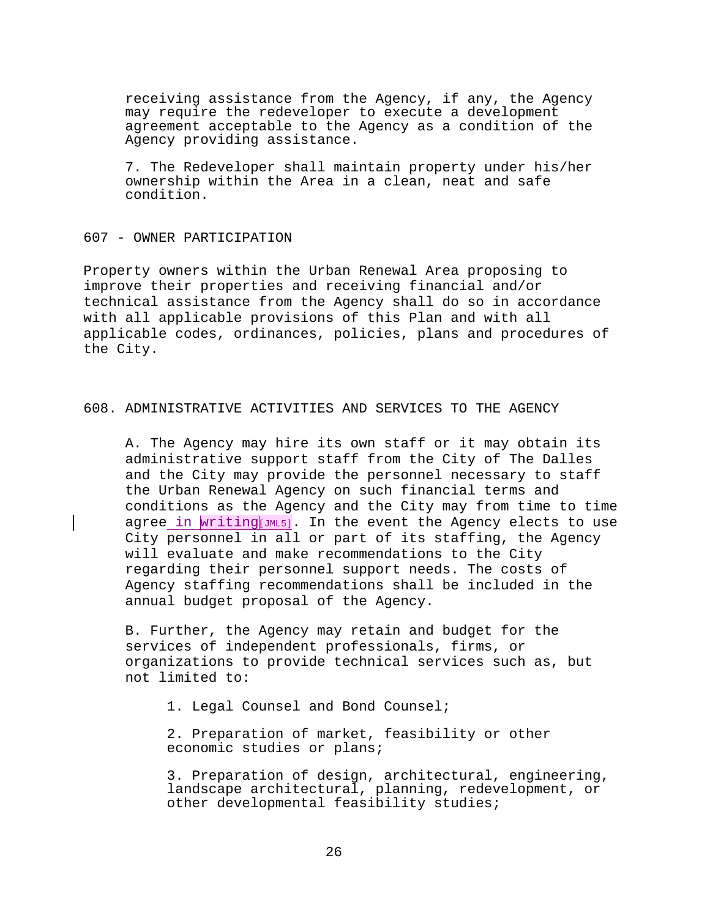receiving assistance from the Agency, if any, the Agency may require the redeveloper to execute a development agreement acceptable to the Agency as a condition of the Agency providing assistance.

7. The Redeveloper shall maintain property under his/her ownership within the Area in a clean, neat and safe condition.

607 - OWNER PARTICIPATION

Property owners within the Urban Renewal Area proposing to improve their properties and receiving financial and/or technical assistance from the Agency shall do so in accordance with all applicable provisions of this Plan and with all applicable codes, ordinances, policies, plans and procedures of the City.

## 608. ADMINISTRATIVE ACTIVITIES AND SERVICES TO THE AGENCY

A. The Agency may hire its own staff or it may obtain its administrative support staff from the City of The Dalles and the City may provide the personnel necessary to staff the Urban Renewal Agency on such financial terms and conditions as the Agency and the City may from time to time agree in writing [JML5]. In the event the Agency elects to use City personnel in all or part of its staffing, the Agency will evaluate and make recommendations to the City regarding their personnel support needs. The costs of Agency staffing recommendations shall be included in the annual budget proposal of the Agency.

B. Further, the Agency may retain and budget for the services of independent professionals, firms, or organizations to provide technical services such as, but not limited to:

1. Legal Counsel and Bond Counsel;

2. Preparation of market, feasibility or other economic studies or plans;

3. Preparation of design, architectural, engineering, landscape architectural, planning, redevelopment, or other developmental feasibility studies;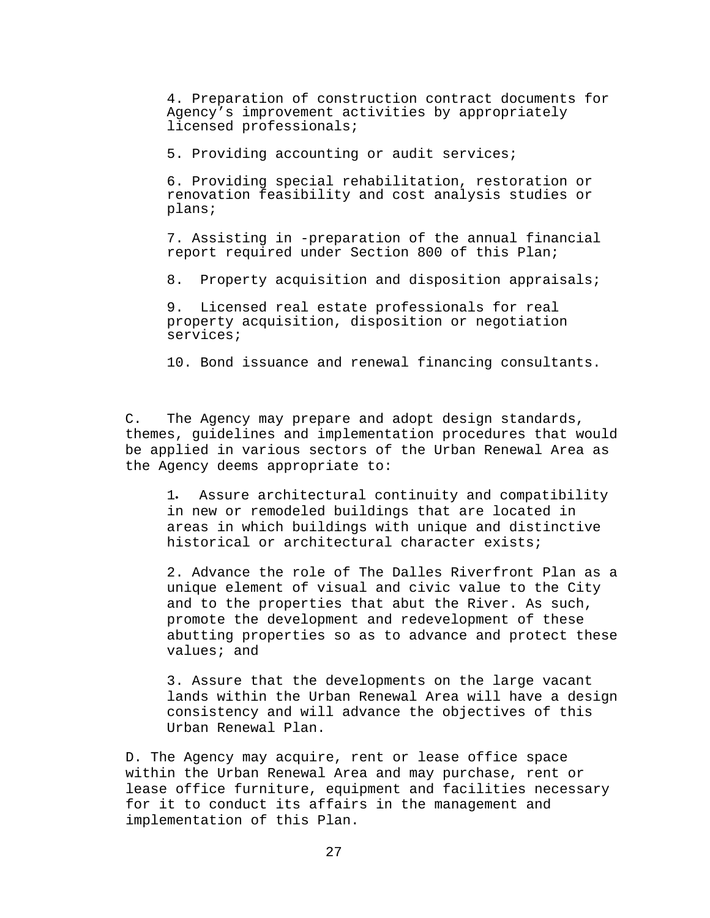4. Preparation of construction contract documents for Agency's improvement activities by appropriately licensed professionals;

5. Providing accounting or audit services;

6. Providing special rehabilitation, restoration or renovation feasibility and cost analysis studies or plans;

7. Assisting in -preparation of the annual financial report required under Section 800 of this Plan;

8. Property acquisition and disposition appraisals;

9. Licensed real estate professionals for real property acquisition, disposition or negotiation services;

10. Bond issuance and renewal financing consultants.

C. The Agency may prepare and adopt design standards, themes, guidelines and implementation procedures that would be applied in various sectors of the Urban Renewal Area as the Agency deems appropriate to:

1• Assure architectural continuity and compatibility in new or remodeled buildings that are located in areas in which buildings with unique and distinctive historical or architectural character exists;

2. Advance the role of The Dalles Riverfront Plan as a unique element of visual and civic value to the City and to the properties that abut the River. As such, promote the development and redevelopment of these abutting properties so as to advance and protect these values; and

3. Assure that the developments on the large vacant lands within the Urban Renewal Area will have a design consistency and will advance the objectives of this Urban Renewal Plan.

D. The Agency may acquire, rent or lease office space within the Urban Renewal Area and may purchase, rent or lease office furniture, equipment and facilities necessary for it to conduct its affairs in the management and implementation of this Plan.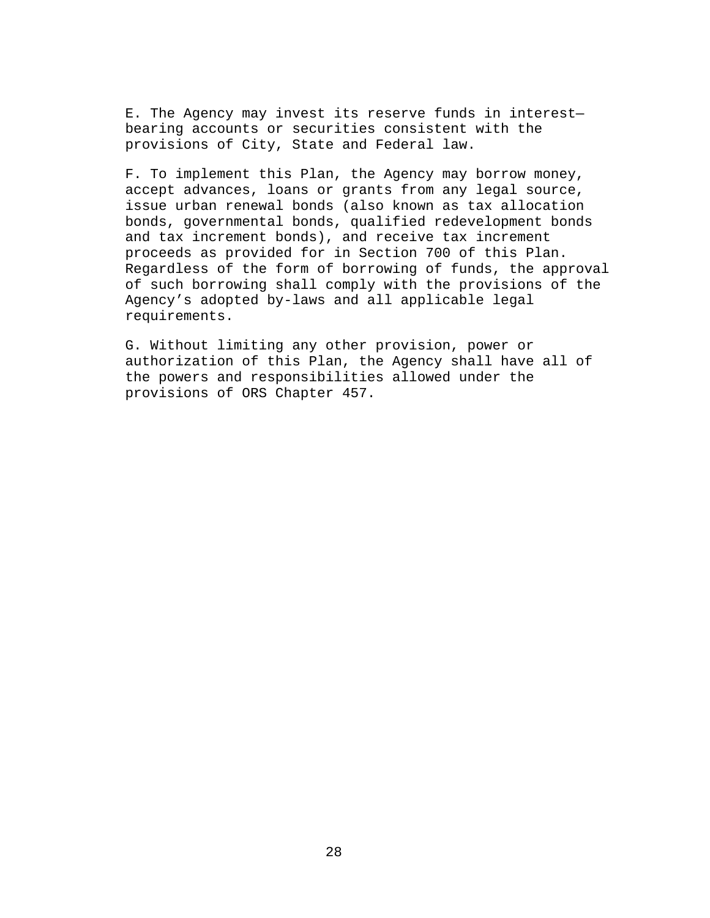E. The Agency may invest its reserve funds in interest bearing accounts or securities consistent with the provisions of City, State and Federal law.

F. To implement this Plan, the Agency may borrow money, accept advances, loans or grants from any legal source, issue urban renewal bonds (also known as tax allocation bonds, governmental bonds, qualified redevelopment bonds and tax increment bonds), and receive tax increment proceeds as provided for in Section 700 of this Plan. Regardless of the form of borrowing of funds, the approval of such borrowing shall comply with the provisions of the Agency's adopted by-laws and all applicable legal requirements.

G. Without limiting any other provision, power or authorization of this Plan, the Agency shall have all of the powers and responsibilities allowed under the provisions of ORS Chapter 457.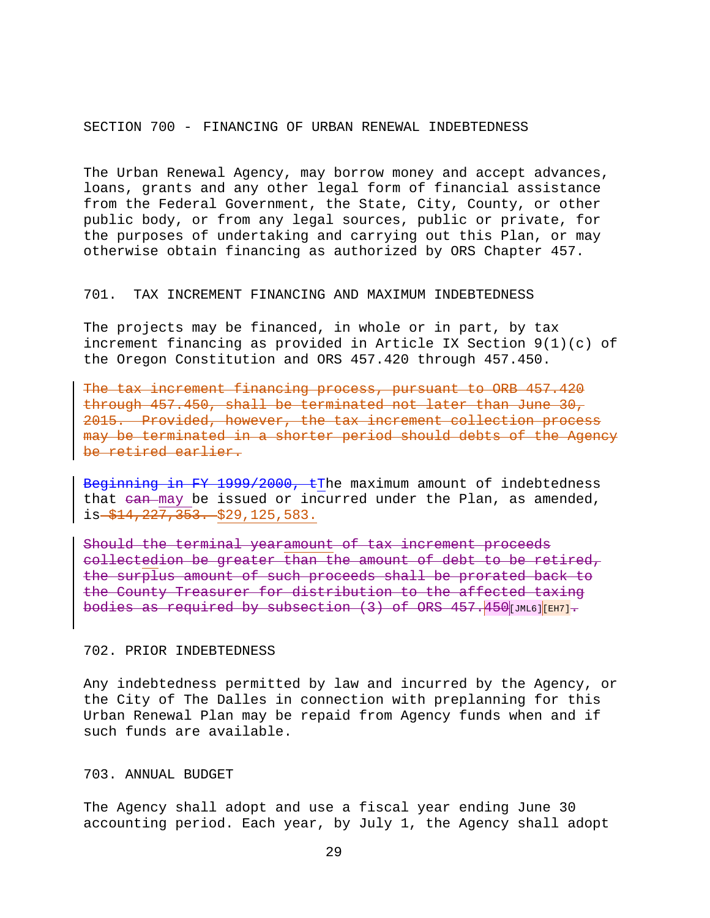#### SECTION 700 - FINANCING OF URBAN RENEWAL INDEBTEDNESS

The Urban Renewal Agency, may borrow money and accept advances, loans, grants and any other legal form of financial assistance from the Federal Government, the State, City, County, or other public body, or from any legal sources, public or private, for the purposes of undertaking and carrying out this Plan, or may otherwise obtain financing as authorized by ORS Chapter 457.

#### 701. TAX INCREMENT FINANCING AND MAXIMUM INDEBTEDNESS

The projects may be financed, in whole or in part, by tax increment financing as provided in Article IX Section 9(1)(c) of the Oregon Constitution and ORS 457.420 through 457.450.

The tax increment financing process, pursuant to ORB 457.420 through 457.450, shall be terminated not later than June 30, 2015. Provided, however, the tax increment collection process may be terminated in a shorter period should debts of the Agency be retired earlier.

Beginning in FY 1999/2000, tThe maximum amount of indebtedness that ean may be issued or incurred under the Plan, as amended, is  $$14,227,353.$  \$29,125,583.

Should the terminal yearamount of tax increment proceeds collectedion be greater than the amount of debt to be retired, the surplus amount of such proceeds shall be prorated back to the County Treasurer for distribution to the affected taxing bodies as required by subsection  $(3)$  of ORS  $457.\overline{450}$ [JML6][EH7].

## 702. PRIOR INDEBTEDNESS

Any indebtedness permitted by law and incurred by the Agency, or the City of The Dalles in connection with preplanning for this Urban Renewal Plan may be repaid from Agency funds when and if such funds are available.

## 703. ANNUAL BUDGET

The Agency shall adopt and use a fiscal year ending June 30 accounting period. Each year, by July 1, the Agency shall adopt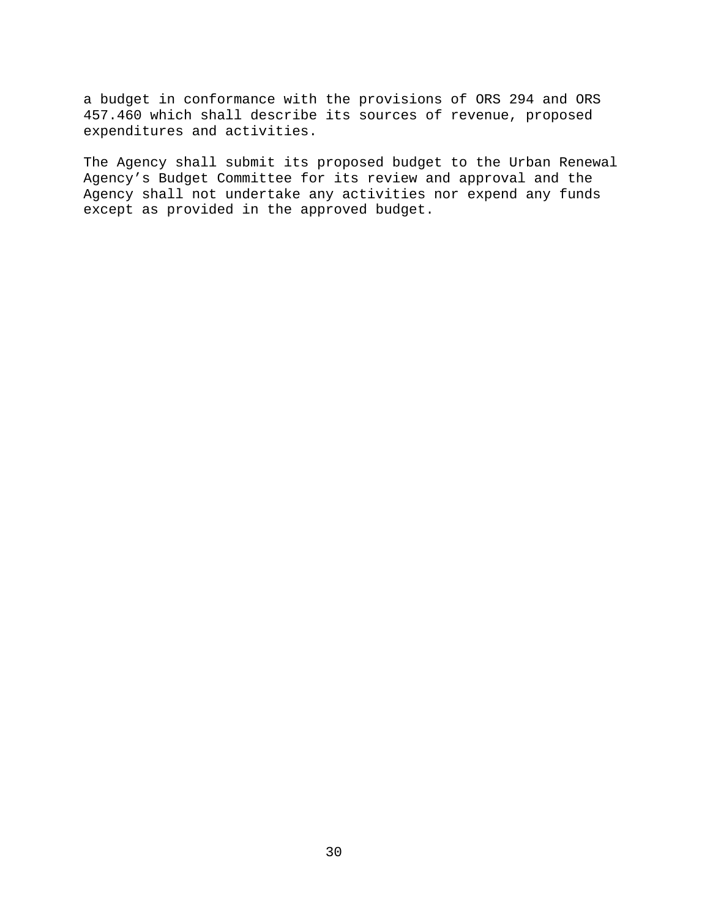a budget in conformance with the provisions of ORS 294 and ORS 457.460 which shall describe its sources of revenue, proposed expenditures and activities.

The Agency shall submit its proposed budget to the Urban Renewal Agency's Budget Committee for its review and approval and the Agency shall not undertake any activities nor expend any funds except as provided in the approved budget.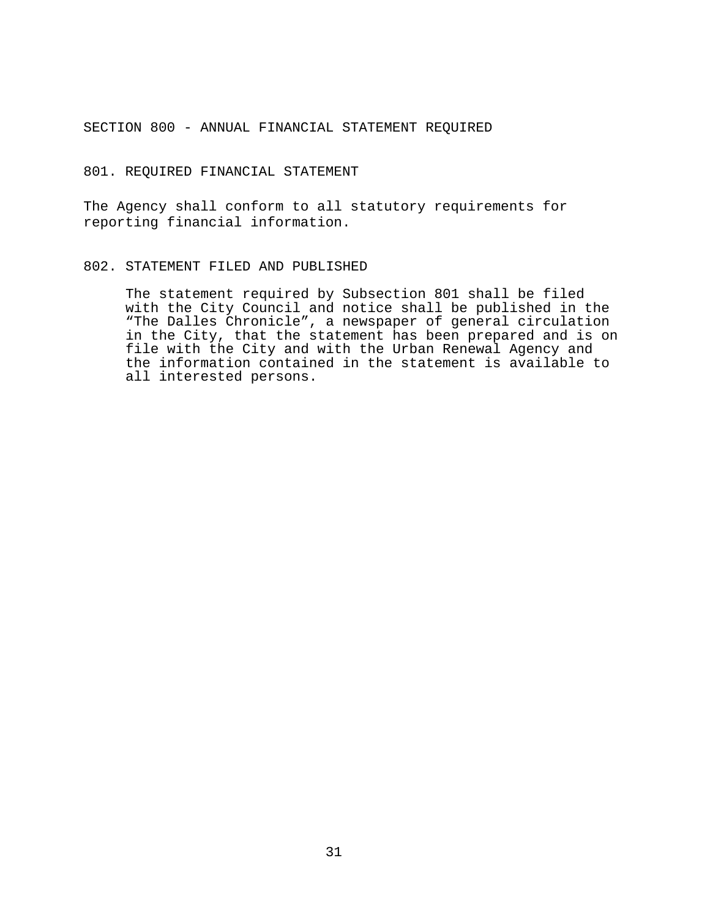SECTION 800 - ANNUAL FINANCIAL STATEMENT REQUIRED

#### 801. REQUIRED FINANCIAL STATEMENT

The Agency shall conform to all statutory requirements for reporting financial information.

## 802. STATEMENT FILED AND PUBLISHED

The statement required by Subsection 801 shall be filed with the City Council and notice shall be published in the "The Dalles Chronicle", a newspaper of general circulation in the City, that the statement has been prepared and is on file with the City and with the Urban Renewal Agency and the information contained in the statement is available to all interested persons.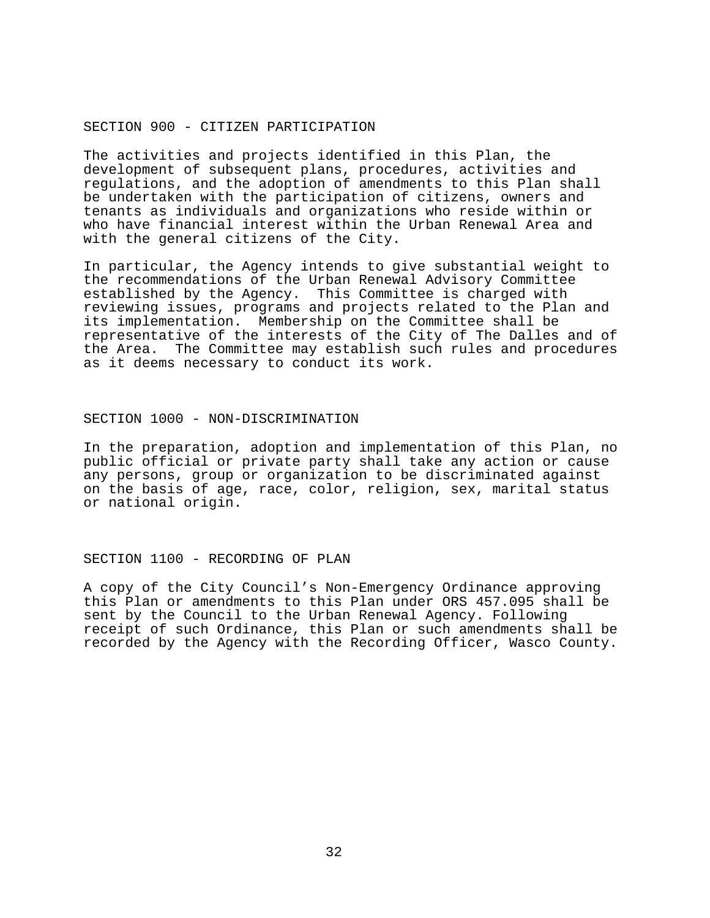#### SECTION 900 - CITIZEN PARTICIPATION

The activities and projects identified in this Plan, the development of subsequent plans, procedures, activities and regulations, and the adoption of amendments to this Plan shall be undertaken with the participation of citizens, owners and tenants as individuals and organizations who reside within or who have financial interest within the Urban Renewal Area and with the general citizens of the City.

In particular, the Agency intends to give substantial weight to the recommendations of the Urban Renewal Advisory Committee established by the Agency. This Committee is charged with reviewing issues, programs and projects related to the Plan and its implementation. Membership on the Committee shall be representative of the interests of the City of The Dalles and of the Area. The Committee may establish such rules and procedures as it deems necessary to conduct its work.

#### SECTION 1000 - NON-DISCRIMINATION

In the preparation, adoption and implementation of this Plan, no public official or private party shall take any action or cause any persons, group or organization to be discriminated against on the basis of age, race, color, religion, sex, marital status or national origin.

#### SECTION 1100 - RECORDING OF PLAN

A copy of the City Council's Non-Emergency Ordinance approving this Plan or amendments to this Plan under ORS 457.095 shall be sent by the Council to the Urban Renewal Agency. Following receipt of such Ordinance, this Plan or such amendments shall be recorded by the Agency with the Recording Officer, Wasco County.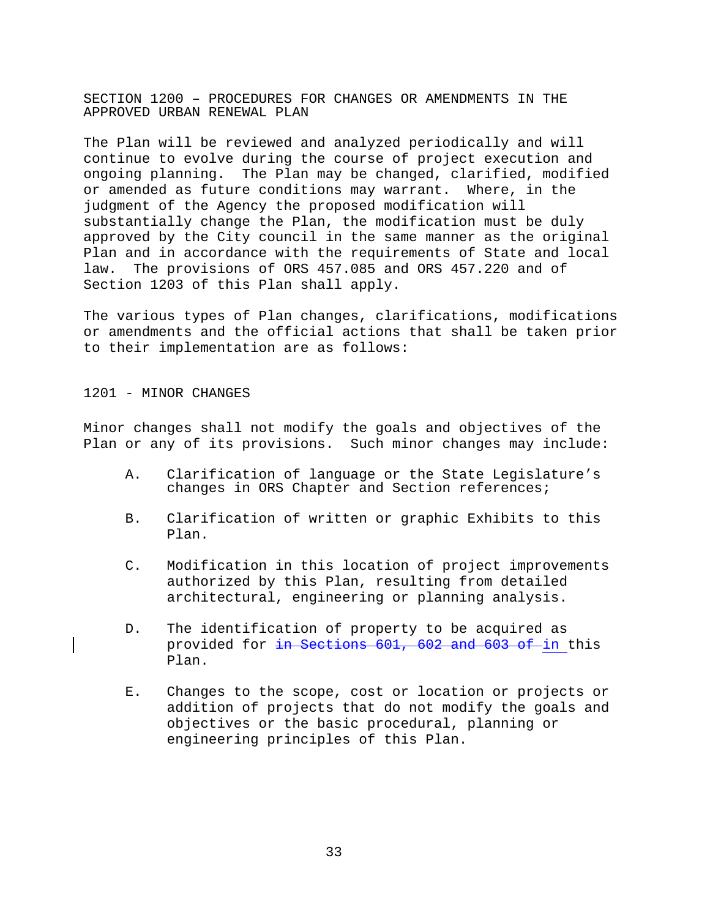SECTION 1200 – PROCEDURES FOR CHANGES OR AMENDMENTS IN THE APPROVED URBAN RENEWAL PLAN

The Plan will be reviewed and analyzed periodically and will continue to evolve during the course of project execution and ongoing planning. The Plan may be changed, clarified, modified or amended as future conditions may warrant. Where, in the judgment of the Agency the proposed modification will substantially change the Plan, the modification must be duly approved by the City council in the same manner as the original Plan and in accordance with the requirements of State and local law. The provisions of ORS 457.085 and ORS 457.220 and of Section 1203 of this Plan shall apply.

The various types of Plan changes, clarifications, modifications or amendments and the official actions that shall be taken prior to their implementation are as follows:

#### 1201 - MINOR CHANGES

Minor changes shall not modify the goals and objectives of the Plan or any of its provisions. Such minor changes may include:

- A. Clarification of language or the State Legislature's changes in ORS Chapter and Section references;
- B. Clarification of written or graphic Exhibits to this Plan.
- C. Modification in this location of project improvements authorized by this Plan, resulting from detailed architectural, engineering or planning analysis.
- D. The identification of property to be acquired as provided for in Sections 601, 602 and 603 of in this Plan.
- E. Changes to the scope, cost or location or projects or addition of projects that do not modify the goals and objectives or the basic procedural, planning or engineering principles of this Plan.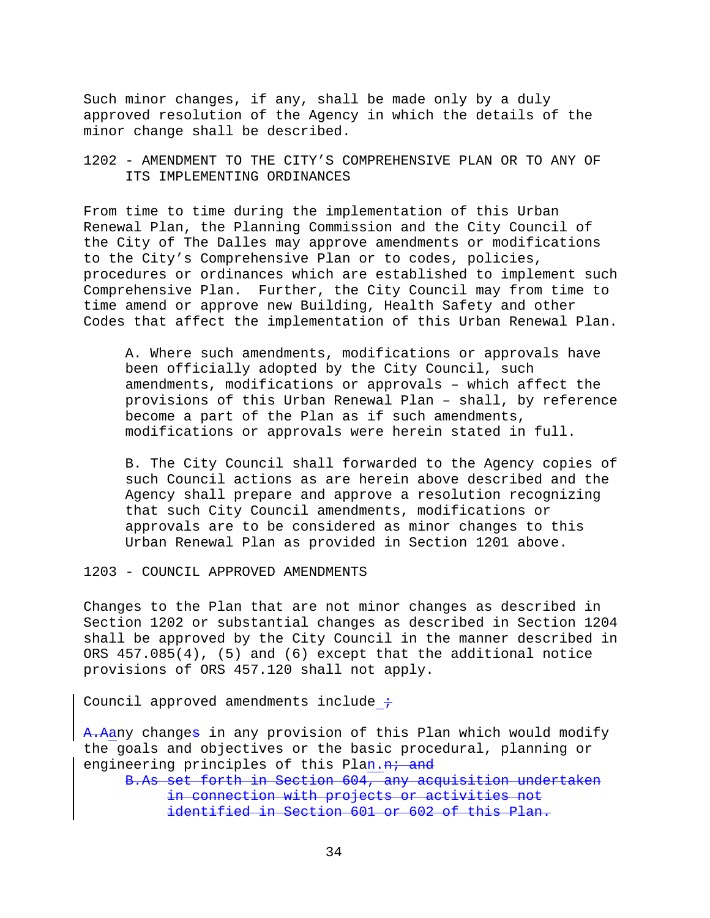Such minor changes, if any, shall be made only by a duly approved resolution of the Agency in which the details of the minor change shall be described.

1202 - AMENDMENT TO THE CITY'S COMPREHENSIVE PLAN OR TO ANY OF ITS IMPLEMENTING ORDINANCES

From time to time during the implementation of this Urban Renewal Plan, the Planning Commission and the City Council of the City of The Dalles may approve amendments or modifications to the City's Comprehensive Plan or to codes, policies, procedures or ordinances which are established to implement such Comprehensive Plan. Further, the City Council may from time to time amend or approve new Building, Health Safety and other Codes that affect the implementation of this Urban Renewal Plan.

A. Where such amendments, modifications or approvals have been officially adopted by the City Council, such amendments, modifications or approvals – which affect the provisions of this Urban Renewal Plan – shall, by reference become a part of the Plan as if such amendments, modifications or approvals were herein stated in full.

B. The City Council shall forwarded to the Agency copies of such Council actions as are herein above described and the Agency shall prepare and approve a resolution recognizing that such City Council amendments, modifications or approvals are to be considered as minor changes to this Urban Renewal Plan as provided in Section 1201 above.

1203 - COUNCIL APPROVED AMENDMENTS

Changes to the Plan that are not minor changes as described in Section 1202 or substantial changes as described in Section 1204 shall be approved by the City Council in the manner described in ORS 457.085(4), (5) and (6) except that the additional notice provisions of ORS 457.120 shall not apply.

Council approved amendments include  $\div$ 

A.Aany changes in any provision of this Plan which would modify the goals and objectives or the basic procedural, planning or engineering principles of this Plan.n; and

B.As set forth in Section 604, any acquisition undertaken in connection with projects or activities not identified in Section 601 or 602 of this Plan.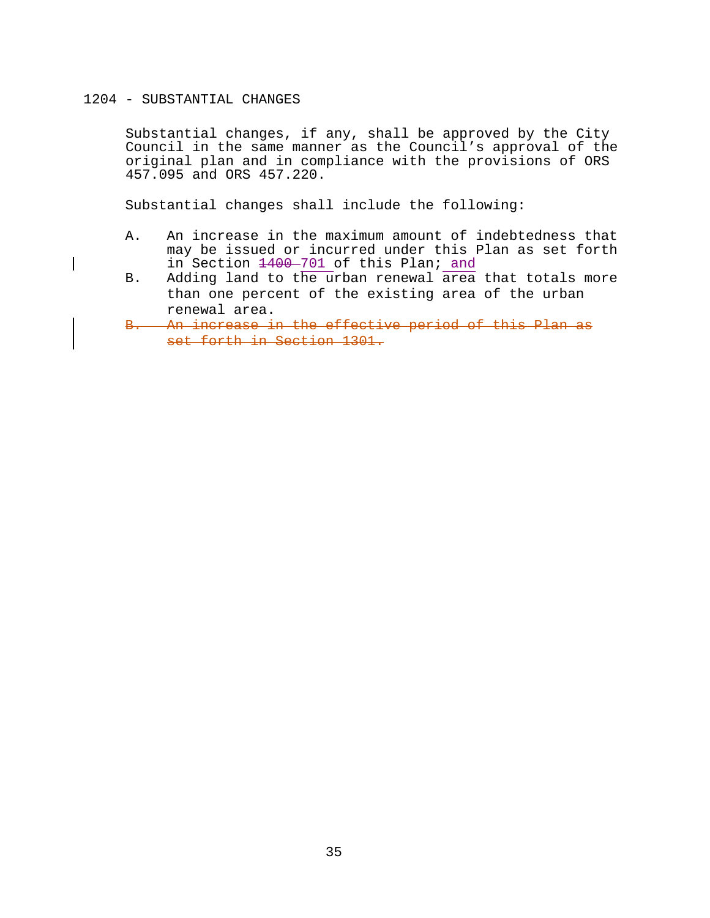## 1204 - SUBSTANTIAL CHANGES

Substantial changes, if any, shall be approved by the City Council in the same manner as the Council's approval of the original plan and in compliance with the provisions of ORS 457.095 and ORS 457.220.

Substantial changes shall include the following:

- A. An increase in the maximum amount of indebtedness that may be issued or incurred under this Plan as set forth in Section 1400-701 of this Plan; and
- B. Adding land to the urban renewal area that totals more than one percent of the existing area of the urban renewal area.
- B. An increase in the effective period of this Plan as set forth in Section 1301.